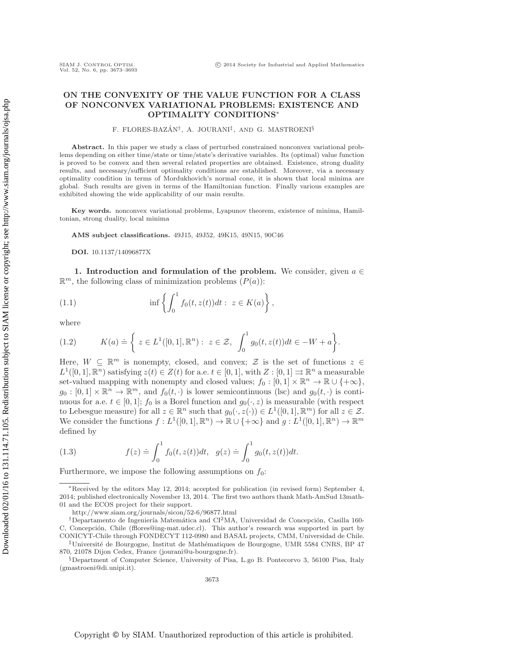## **ON THE CONVEXITY OF THE VALUE FUNCTION FOR A CLASS OF NONCONVEX VARIATIONAL PROBLEMS: EXISTENCE AND OPTIMALITY CONDITIONS**<sup>∗</sup>

F. FLORES-BAZÁN<sup>†</sup>, A. JOURANI<sup>‡</sup>, AND G. MASTROENI<sup>§</sup>

**Abstract.** In this paper we study a class of perturbed constrained nonconvex variational problems depending on either time/state or time/state's derivative variables. Its (optimal) value function is proved to be convex and then several related properties are obtained. Existence, strong duality results, and necessary/sufficient optimality conditions are established. Moreover, via a necessary optimality condition in terms of Mordukhovich's normal cone, it is shown that local minima are global. Such results are given in terms of the Hamiltonian function. Finally various examples are exhibited showing the wide applicability of our main results.

**Key words.** nonconvex variational problems, Lyapunov theorem, existence of minima, Hamiltonian, strong duality, local minima

**AMS subject classifications.** 49J15, 49J52, 49K15, 49N15, 90C46

<span id="page-0-0"></span>**DOI.** 10.1137/14096877X

**1. Introduction and formulation of the problem.** We consider, given  $a \in \mathbb{R}$  $\mathbb{R}^m$ , the following class of minimization problems  $(P(a))$ :

(1.1) 
$$
\inf \left\{ \int_0^1 f_0(t, z(t)) dt : z \in K(a) \right\},\
$$

<span id="page-0-1"></span>where

(1.2) 
$$
K(a) \doteq \left\{ z \in L^{1}([0,1], \mathbb{R}^{n}) : z \in \mathcal{Z}, \int_{0}^{1} g_{0}(t, z(t)) dt \in -W + a \right\}.
$$

Here,  $W \subseteq \mathbb{R}^m$  is nonempty, closed, and convex;  $\mathcal Z$  is the set of functions  $z \in \mathcal Z$  $L^1([0,1], \mathbb{R}^n)$  satisfying  $z(t) \in Z(t)$  for a.e.  $t \in [0,1]$ , with  $Z : [0,1] \rightrightarrows \mathbb{R}^n$  a measurable set-valued mapping with nonempty and closed values;  $f_0 : [0,1] \times \mathbb{R}^n \to \mathbb{R} \cup \{+\infty\},\$  $g_0 : [0,1] \times \mathbb{R}^n \to \mathbb{R}^m$ , and  $f_0(t, \cdot)$  is lower semicontinuous (lsc) and  $g_0(t, \cdot)$  is continuous for a.e.  $t \in [0,1]$ ;  $f_0$  is a Borel function and  $g_0(\cdot, z)$  is measurable (with respect to Lebesgue measure) for all  $z \in \mathbb{R}^n$  such that  $g_0(\cdot, z(\cdot)) \in L^1([0,1], \mathbb{R}^m)$  for all  $z \in \mathcal{Z}$ . We consider the functions  $f: L^1([0,1], \mathbb{R}^n) \to \mathbb{R} \cup \{+\infty\}$  and  $g: L^1([0,1], \mathbb{R}^n) \to \mathbb{R}^m$ defined by

<span id="page-0-2"></span>(1.3) 
$$
f(z) \doteq \int_0^1 f_0(t, z(t)) dt, \quad g(z) \doteq \int_0^1 g_0(t, z(t)) dt.
$$

Furthermore, we impose the following assumptions on  $f_0$ :

<sup>∗</sup>Received by the editors May 12, 2014; accepted for publication (in revised form) September 4, 2014; published electronically November 13, 2014. The first two authors thank Math-AmSud 13math-01 and the ECOS project for their support.

<http://www.siam.org/journals/sicon/52-6/96877.html>

<sup>&</sup>lt;sup>†</sup>Departamento de Ingeniería Matemática and CI<sup>2</sup>MA, Universidad de Concepción, Casilla 160-C, Concepción, Chile [\(fflores@ing-mat.udec.cl\)](mailto:fflores@ing-mat.udec.cl). This author's research was supported in part by CONICYT-Chile through FONDECYT 112-0980 and BASAL projects, CMM, Universidad de Chile.

 $\ddagger$ Université de Bourgogne, Institut de Mathématiques de Bourgogne, UMR 5584 CNRS, BP 47 870, 21078 Dijon Cedex, France [\(jourani@u-bourgogne.fr\)](mailto:jourani@u-bourgogne.fr).

<sup>§</sup>Department of Computer Science, University of Pisa, L.go B. Pontecorvo 3, 56100 Pisa, Italy [\(gmastroeni@di.unipi.it\)](mailto:gmastroeni@di.unipi.it).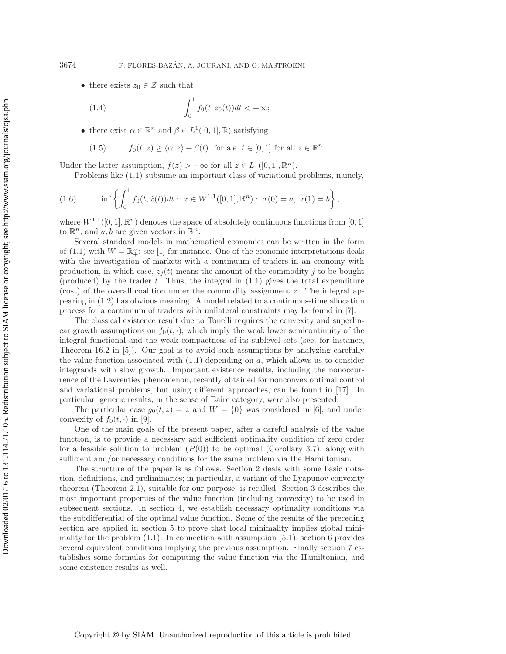• there exists  $z_0 \in \mathcal{Z}$  such that

<span id="page-1-0"></span>(1.4) 
$$
\int_0^1 f_0(t, z_0(t)) dt < +\infty;
$$

• there exist  $\alpha \in \mathbb{R}^n$  and  $\beta \in L^1([0,1],\mathbb{R})$  satisfying

<span id="page-1-1"></span>(1.5) 
$$
f_0(t, z) \ge \langle \alpha, z \rangle + \beta(t) \text{ for a.e. } t \in [0, 1] \text{ for all } z \in \mathbb{R}^n.
$$

Under the latter assumption,  $f(z) > -\infty$  for all  $z \in L^1([0, 1], \mathbb{R}^n)$ .

Problems like [\(1.1\)](#page-0-0) subsume an important class of variational problems, namely,

(1.6) 
$$
\inf \left\{ \int_0^1 f_0(t, \dot{x}(t)) dt : x \in W^{1,1}([0,1], \mathbb{R}^n) : x(0) = a, x(1) = b \right\},
$$

where  $W^{1,1}([0,1], \mathbb{R}^n)$  denotes the space of absolutely continuous functions from [0, 1] to  $\mathbb{R}^n$ , and a, b are given vectors in  $\mathbb{R}^n$ .

Several standard models in mathematical economics can be written in the form of [\(1.1\)](#page-0-0) with  $W = \mathbb{R}^n_+$ ; see [\[1\]](#page-19-0) for instance. One of the economic interpretations deals with the investigation of markets with a continuum of traders in an economy with production, in which case,  $z_i(t)$  means the amount of the commodity j to be bought (produced) by the trader  $t$ . Thus, the integral in  $(1.1)$  gives the total expenditure (cost) of the overall coalition under the commodity assignment z. The integral appearing in [\(1.2\)](#page-0-1) has obvious meaning. A model related to a continuous-time allocation process for a continuum of traders with unilateral constraints may be found in [\[7\]](#page-20-0).

The classical existence result due to Tonelli requires the convexity and superlinear growth assumptions on  $f_0(t, \cdot)$ , which imply the weak lower semicontinuity of the integral functional and the weak compactness of its sublevel sets (see, for instance, Theorem 16.2 in [\[5\]](#page-20-1)). Our goal is to avoid such assumptions by analyzing carefully the value function associated with  $(1.1)$  depending on a, which allows us to consider integrands with slow growth. Important existence results, including the nonoccurrence of the Lavrentiev phenomenon, recently obtained for nonconvex optimal control and variational problems, but using different approaches, can be found in [\[17\]](#page-20-2). In particular, generic results, in the sense of Baire category, were also presented.

The particular case  $g_0(t, z) = z$  and  $W = \{0\}$  was considered in [\[6\]](#page-20-3), and under convexity of  $f_0(t, \cdot)$  in [\[9\]](#page-20-4).

One of the main goals of the present paper, after a careful analysis of the value function, is to provide a necessary and sufficient optimality condition of zero order for a feasible solution to problem  $(P(0))$  to be optimal (Corollary [3.7\)](#page-7-0), along with sufficient and/or necessary conditions for the same problem via the Hamiltonian.

The structure of the paper is as follows. Section [2](#page-2-0) deals with some basic notation, definitions, and preliminaries; in particular, a variant of the Lyapunov convexity theorem (Theorem [2.1\)](#page-2-1), suitable for our purpose, is recalled. Section [3](#page-3-0) describes the most important properties of the value function (including convexity) to be used in subsequent sections. In section [4,](#page-8-0) we establish necessary optimality conditions via the subdifferential of the optimal value function. Some of the results of the preceding section are applied in section [5](#page-10-0) to prove that local minimality implies global minimality for the problem  $(1.1)$ . In connection with assumption  $(5.1)$ , section [6](#page-12-0) provides several equivalent conditions implying the previous assumption. Finally section [7](#page-14-0) establishes some formulas for computing the value function via the Hamiltonian, and some existence results as well.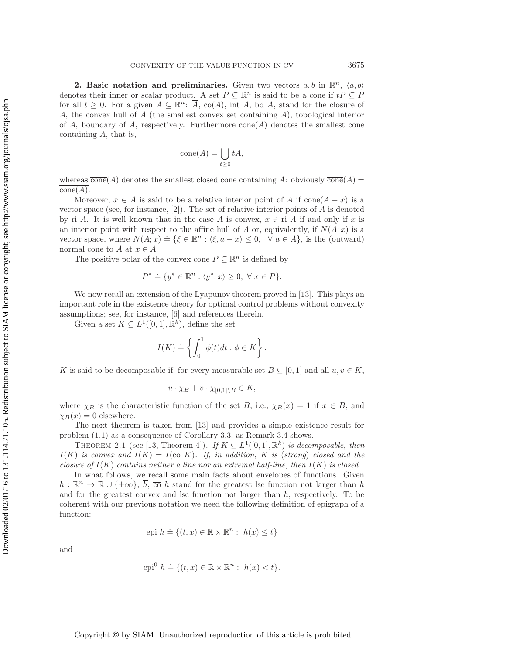<span id="page-2-0"></span>**2. Basic notation and preliminaries.** Given two vectors  $a, b$  in  $\mathbb{R}^n$ ,  $\langle a, b \rangle$ denotes their inner or scalar product. A set  $P \subseteq \mathbb{R}^n$  is said to be a cone if  $tP \subseteq P$ for all  $t \geq 0$ . For a given  $A \subseteq \mathbb{R}^n$ :  $\overline{A}$ , co(A), int A, bd A, stand for the closure of A, the convex hull of A (the smallest convex set containing A), topological interior of A, boundary of A, respectively. Furthermore  $cone(A)$  denotes the smallest cone containing  $A$ , that is,

$$
cone(A) = \bigcup_{t \ge 0} tA,
$$

whereas  $\overline{\text{cone}}(A)$  denotes the smallest closed cone containing A: obviously  $\overline{\text{cone}}(A)$  =  $cone(A).$ 

Moreover,  $x \in A$  is said to be a relative interior point of A if  $\overline{\text{cone}}(A-x)$  is a vector space (see, for instance,  $[2]$ ). The set of relative interior points of A is denoted by ri A. It is well known that in the case A is convex,  $x \in \text{ri } A$  if and only if x is an interior point with respect to the affine hull of A or, equivalently, if  $N(A; x)$  is a vector space, where  $N(A; x) = \{ \xi \in \mathbb{R}^n : \langle \xi, a - x \rangle \leq 0, \forall a \in A \}$ , is the (outward) normal cone to  $A$  at  $x \in A$ .

The positive polar of the convex cone  $P \subseteq \mathbb{R}^n$  is defined by

$$
P^* \doteq \{ y^* \in \mathbb{R}^n : \langle y^*, x \rangle \ge 0, \ \forall \ x \in P \}.
$$

We now recall an extension of the Lyapunov theorem proved in [\[13\]](#page-20-5). This plays an important role in the existence theory for optimal control problems without convexity assumptions; see, for instance, [\[6\]](#page-20-3) and references therein.

Given a set  $K \subseteq L^1([0,1], \mathbb{R}^k)$ , define the set

$$
I(K)\doteq\left\{\int_0^1\phi(t)dt:\phi\in K\right\}.
$$

K is said to be decomposable if, for every measurable set  $B \subseteq [0,1]$  and all  $u, v \in K$ ,

$$
u \cdot \chi_B + v \cdot \chi_{[0,1] \setminus B} \in K,
$$

where  $\chi_B$  is the characteristic function of the set B, i.e.,  $\chi_B(x) = 1$  if  $x \in B$ , and  $\chi_B(x) = 0$  elsewhere.

The next theorem is taken from [\[13\]](#page-20-5) and provides a simple existence result for problem [\(1.1\)](#page-0-0) as a consequence of Corollary [3.3,](#page-6-0) as Remark [3.4](#page-6-1) shows.

<span id="page-2-1"></span>THEOREM 2.1 (see [\[13,](#page-20-5) Theorem 4]). *If*  $K \subseteq L^1([0,1], \mathbb{R}^k)$  *is decomposable, then*  $I(K)$  *is convex and*  $I(K) = I(\text{co } K)$ *. If, in addition,* K *is (strong) closed and the closure of*  $I(K)$  *contains neither a line nor an extremal half-line, then*  $I(K)$  *is closed.* 

In what follows, we recall some main facts about envelopes of functions. Given  $h : \mathbb{R}^n \to \mathbb{R} \cup \{\pm \infty\}, \overline{h}, \overline{\mathfrak{co}}\;h \text{ stand for the greatest lsc function not larger than }h$ and for the greatest convex and lsc function not larger than  $h$ , respectively. To be coherent with our previous notation we need the following definition of epigraph of a function:

$$
epi \; h \doteq \{ (t, x) \in \mathbb{R} \times \mathbb{R}^n : \; h(x) \le t \}
$$

and

$$
epi0 h \doteq \{ (t, x) \in \mathbb{R} \times \mathbb{R}^n : h(x) < t \}.
$$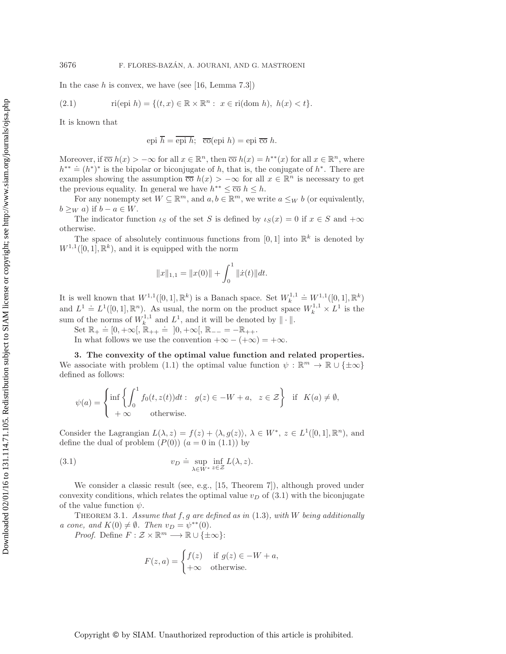In the case  $h$  is convex, we have (see [\[16,](#page-20-6) Lemma 7.3])

(2.1) 
$$
\text{ri}(\text{epi } h) = \{(t, x) \in \mathbb{R} \times \mathbb{R}^n : x \in \text{ri}(\text{dom } h), h(x) < t\}.
$$

It is known that

<span id="page-3-2"></span>epi  $\overline{h} = \overline{\text{epi } h}$ ;  $\overline{\text{co}}(\text{epi } h) = \text{epi } \overline{\text{co }} h$ .

Moreover, if  $\overline{co} h(x) > -\infty$  for all  $x \in \mathbb{R}^n$ , then  $\overline{co} h(x) = h^{**}(x)$  for all  $x \in \mathbb{R}^n$ , where  $h^{**} \doteq (h^*)^*$  is the bipolar or biconjugate of h, that is, the conjugate of  $h^*$ . There are examples showing the assumption  $\overline{co} h(x) > -\infty$  for all  $x \in \mathbb{R}^n$  is necessary to get the previous equality. In general we have  $h^{**} \leq \overline{co} h \leq h$ .

For any nonempty set  $W \subseteq \mathbb{R}^m$ , and  $a, b \in \mathbb{R}^m$ , we write  $a \leq_W b$  (or equivalently,  $b \geq_W a$ ) if  $b - a \in W$ .

The indicator function  $\iota_S$  of the set S is defined by  $\iota_S(x) = 0$  if  $x \in S$  and  $+\infty$ otherwise.

The space of absolutely continuous functions from [0, 1] into  $\mathbb{R}^k$  is denoted by  $W^{1,1}([0,1], \mathbb{R}^k)$ , and it is equipped with the norm

$$
||x||_{1,1} = ||x(0)|| + \int_0^1 ||\dot{x}(t)||dt.
$$

It is well known that  $W^{1,1}([0,1],\mathbb{R}^k)$  is a Banach space. Set  $W_k^{1,1}$  $\dot{=} W^{1,1}([0,1],\mathbb{R}^k)$ and  $L^1 \doteq L^1([0,1], \mathbb{R}^n)$ . As usual, the norm on the product space  $W_k^{1,1} \times L^1$  is the sum of the norms of  $W_k^{1,1}$  and  $L^1$ , and it will be denoted by  $\|\cdot\|$ .

Set  $\mathbb{R}_+ \doteq [0, +\infty[, \mathbb{R}_{++} \doteq [0, +\infty[, \mathbb{R}_{--} = -\mathbb{R}_{++}].$ 

In what follows we use the convention  $+\infty - (+\infty) = +\infty$ .

<span id="page-3-0"></span>**3. The convexity of the optimal value function and related properties.** We associate with problem [\(1.1\)](#page-0-0) the optimal value function  $\psi : \mathbb{R}^m \to \mathbb{R} \cup {\pm \infty}$ defined as follows:

$$
\psi(a) = \begin{cases} \inf \left\{ \int_0^1 f_0(t, z(t)) dt : g(z) \in -W + a, z \in \mathcal{Z} \right\} & \text{if } K(a) \neq \emptyset, \\ +\infty & \text{otherwise.} \end{cases}
$$

Consider the Lagrangian  $L(\lambda, z) = f(z) + \langle \lambda, g(z) \rangle$ ,  $\lambda \in W^*$ ,  $z \in L^1([0, 1], \mathbb{R}^n)$ , and define the dual of problem  $(P(0))$   $(a = 0$  in  $(1.1))$  $(1.1))$  by

(3.1) 
$$
v_D \doteq \sup_{\lambda \in W^*} \inf_{z \in \mathcal{Z}} L(\lambda, z).
$$

We consider a classic result (see, e.g., [\[15,](#page-20-7) Theorem 7]), although proved under convexity conditions, which relates the optimal value  $v_D$  of [\(3.1\)](#page-3-1) with the biconjugate of the value function  $\psi$ .

<span id="page-3-3"></span>Theorem 3.1. *Assume that* f,g *are defined as in* [\(1.3\)](#page-0-2)*, with* W *being additionally a cone, and*  $K(0) \neq \emptyset$ *. Then*  $v_D = \psi^{**}(0)$ *.* 

*Proof.* Define  $F : \mathcal{Z} \times \mathbb{R}^m \longrightarrow \mathbb{R} \cup {\{\pm \infty\}}$ :

<span id="page-3-1"></span>
$$
F(z, a) = \begin{cases} f(z) & \text{if } g(z) \in -W + a, \\ +\infty & \text{otherwise.} \end{cases}
$$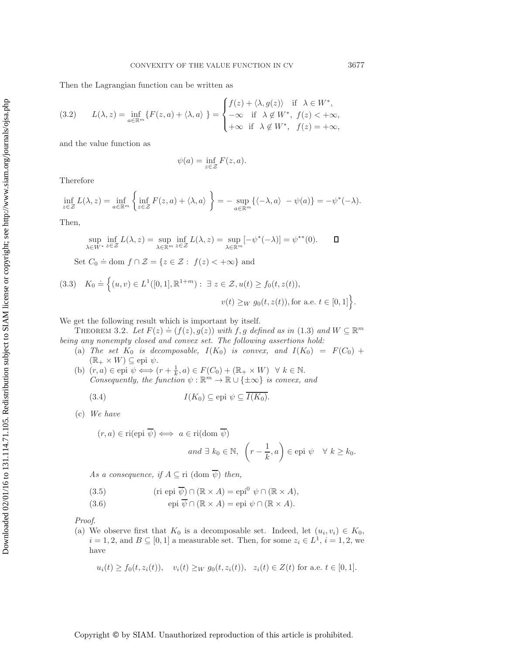Then the Lagrangian function can be written as

(3.2) 
$$
L(\lambda, z) = \inf_{a \in \mathbb{R}^m} \{ F(z, a) + \langle \lambda, a \rangle \} = \begin{cases} f(z) + \langle \lambda, g(z) \rangle & \text{if } \lambda \in W^*, \\ -\infty & \text{if } \lambda \notin W^*, \ f(z) < +\infty, \\ +\infty & \text{if } \lambda \notin W^*, \ f(z) = +\infty, \end{cases}
$$

and the value function as

$$
\psi(a) = \inf_{z \in \mathcal{Z}} F(z, a).
$$

Therefore

$$
\inf_{z \in \mathcal{Z}} L(\lambda, z) = \inf_{a \in \mathbb{R}^m} \left\{ \inf_{z \in \mathcal{Z}} F(z, a) + \langle \lambda, a \rangle \right\} = - \sup_{a \in \mathbb{R}^m} \{ \langle -\lambda, a \rangle - \psi(a) \} = -\psi^*(-\lambda).
$$

Then,

$$
\sup_{\lambda \in W^{*}} \inf_{z \in \mathcal{Z}} L(\lambda, z) = \sup_{\lambda \in \mathbb{R}^{m}} \inf_{z \in \mathcal{Z}} L(\lambda, z) = \sup_{\lambda \in \mathbb{R}^{m}} [-\psi^{*}(-\lambda)] = \psi^{**}(0). \qquad \Box
$$

Set  $C_0 \doteq \text{dom } f \cap \mathcal{Z} = \{z \in \mathcal{Z} : f(z) < +\infty\}$  and

$$
(3.3) \quad K_0 \doteq \Big\{ (u, v) \in L^1([0, 1], \mathbb{R}^{1+m}) : \ \exists \ z \in \mathcal{Z}, u(t) \ge f_0(t, z(t)),
$$

$$
v(t) \ge W \ g_0(t, z(t)), \text{for a.e. } t \in [0, 1] \Big\}.
$$

<span id="page-4-2"></span>We get the following result which is important by itself.

THEOREM 3.2. Let  $F(z) \doteq (f(z), g(z))$  with f, g defined as in [\(1.3\)](#page-0-2) and  $W \subseteq \mathbb{R}^m$ *being any nonempty closed and convex set. The following assertions hold:*

- (a) *The set*  $K_0$  *is decomposable,*  $I(K_0)$  *is convex, and*  $I(K_0) = F(C_0) +$  $(\mathbb{R}_+ \times W) \subseteq$ epi  $\psi$ .
- (b)  $(r, a) \in \text{epi } \psi \Longleftrightarrow (r + \frac{1}{k}, a) \in F(C_0) + (\mathbb{R}_+ \times W) \ \ \forall \ k \in \mathbb{N}.$ *Consequently, the function*  $\psi : \mathbb{R}^m \to \mathbb{R} \cup \{\pm \infty\}$  *is convex, and*

(3.4) 
$$
I(K_0) \subseteq \text{epi } \psi \subseteq \overline{I(K_0)}.
$$

(c) *We have*

 $(r, a) \in$ 

<span id="page-4-0"></span>ri(epi 
$$
\overline{\psi}
$$
)  $\iff$  a  $\in$  ri(dom  $\overline{\psi}$ )  
and  $\exists k_0 \in \mathbb{N}, \quad \left(r - \frac{1}{k}, a\right) \in$ epi  $\psi \quad \forall k \ge k_0$ .

*As a consequence, if*  $A \subseteq \text{ri } (\text{dom } \overline{\psi})$  *then,* 

<span id="page-4-1"></span>(3.5) 
$$
(\text{ri epi }\overline{\psi}) \cap (\mathbb{R} \times A) = \text{epi}^{0} \psi \cap (\mathbb{R} \times A),
$$

(3.6) 
$$
\text{epi }\overline{\psi} \cap (\mathbb{R} \times A) = \text{epi }\psi \cap (\mathbb{R} \times A).
$$

*Proof*.

(a) We observe first that  $K_0$  is a decomposable set. Indeed, let  $(u_i, v_i) \in K_0$ ,  $i = 1, 2$ , and  $B \subseteq [0, 1]$  a measurable set. Then, for some  $z_i \in L^1$ ,  $i = 1, 2$ , we have

$$
u_i(t) \ge f_0(t, z_i(t)), \quad v_i(t) \ge W \ g_0(t, z_i(t)), \quad z_i(t) \in Z(t) \text{ for a.e. } t \in [0, 1].
$$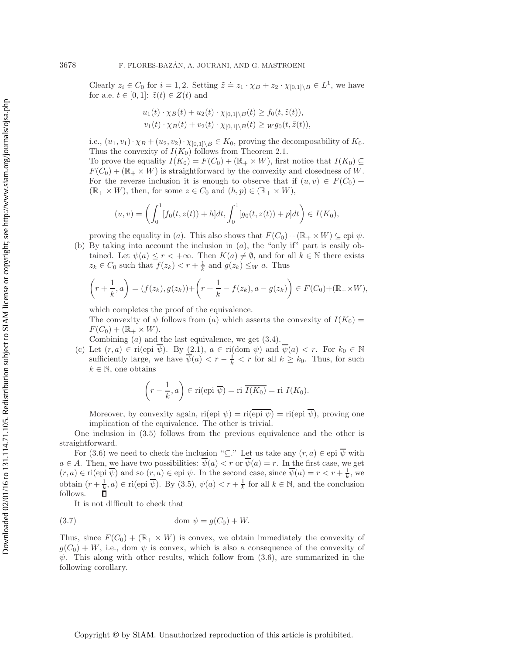Clearly  $z_i \in C_0$  for  $i = 1, 2$ . Setting  $\tilde{z} \doteq z_1 \cdot \chi_B + z_2 \cdot \chi_{[0,1] \setminus B} \in L^1$ , we have for a.e.  $t \in [0,1]$ :  $\tilde{z}(t) \in Z(t)$  and

$$
u_1(t) \cdot \chi_B(t) + u_2(t) \cdot \chi_{[0,1] \setminus B}(t) \ge f_0(t, \tilde{z}(t)),
$$
  

$$
v_1(t) \cdot \chi_B(t) + v_2(t) \cdot \chi_{[0,1] \setminus B}(t) \ge \chi g_0(t, \tilde{z}(t)),
$$

i.e.,  $(u_1, v_1) \cdot \chi_B + (u_2, v_2) \cdot \chi_{[0,1] \setminus B} \in K_0$ , proving the decomposability of  $K_0$ . Thus the convexity of  $I(K_0)$  follows from Theorem [2.1.](#page-2-1)

To prove the equality  $I(K_0) = F(C_0) + (\mathbb{R}_+ \times W)$ , first notice that  $I(K_0) \subseteq$  $F(C_0)+(\mathbb{R}_+ \times W)$  is straightforward by the convexity and closedness of W. For the reverse inclusion it is enough to observe that if  $(u, v) \in F(C_0)$  +  $(\mathbb{R}_+ \times W)$ , then, for some  $z \in C_0$  and  $(h, p) \in (\mathbb{R}_+ \times W)$ ,

$$
(u, v) = \left(\int_0^1 [f_0(t, z(t)) + h]dt, \int_0^1 [g_0(t, z(t)) + p]dt\right) \in I(K_0),
$$

proving the equality in (a). This also shows that  $F(C_0)+(\mathbb{R}_+ \times W) \subseteq$  epi  $\psi$ .

(b) By taking into account the inclusion in  $(a)$ , the "only if" part is easily obtained. Let  $\psi(a) \leq r < +\infty$ . Then  $K(a) \neq \emptyset$ , and for all  $k \in \mathbb{N}$  there exists  $z_k \in C_0$  such that  $f(z_k) < r + \frac{1}{k}$  and  $g(z_k) \leq_W a$ . Thus

$$
\left(r+\frac{1}{k},a\right) = (f(z_k),g(z_k)) + \left(r+\frac{1}{k} - f(z_k),a - g(z_k)\right) \in F(C_0) + (\mathbb{R}_+ \times W),
$$

which completes the proof of the equivalence.

The convexity of  $\psi$  follows from (a) which asserts the convexity of  $I(K_0)$  =  $F(C_0)+(\mathbb{R}_+\times W).$ 

Combining  $(a)$  and the last equivalence, we get  $(3.4)$ .

(c) Let  $(r, a) \in \text{ri}(\text{epi } \psi)$ . By  $(2.1)$ ,  $a \in \text{ri}(\text{dom } \psi)$  and  $\overline{\psi}(a) < r$ . For  $k_0 \in \mathbb{N}$ sufficiently large, we have  $\psi(a) < r - \frac{1}{k} < r$  for all  $k \geq k_0$ . Thus, for such  $k \in \mathbb{N}$ , one obtains

$$
\left(r - \frac{1}{k}, a\right) \in \text{ri}(\text{epi }\overline{\psi}) = \text{ri }\overline{I(K_0)} = \text{ri } I(K_0).
$$

Moreover, by convexity again, ri(epi  $\psi$ ) = ri(epi  $\overline{\psi}$ ), proving one implication of the equivalence. The other is trivial.

One inclusion in [\(3.5\)](#page-4-1) follows from the previous equivalence and the other is straightforward.

For [\(3.6\)](#page-4-1) we need to check the inclusion " $\subseteq$ ." Let us take any  $(r, a) \in$ epi  $\overline{\psi}$  with  $a \in A$ . Then, we have two possibilities:  $\overline{\psi}(a) < r$  or  $\overline{\psi}(a) = r$ . In the first case, we get  $(r, a) \in \text{ri}(\text{epi }\overline{\psi})$  and so  $(r, a) \in \text{epi }\psi$ . In the second case, since  $\overline{\psi}(a) = r < r + \frac{1}{k}$ , we obtain  $(r + \frac{1}{k}, a) \in \text{ri}(\text{epi }\overline{\psi})$ . By  $(3.5)$ ,  $\psi(a) < r + \frac{1}{k}$  for all  $k \in \mathbb{N}$ , and the conclusion follows.

It is not difficult to check that

$$
(3.7) \t\t dom \psi = g(C_0) + W.
$$

Thus, since  $F(C_0) + (\mathbb{R}_+ \times W)$  is convex, we obtain immediately the convexity of  $g(C_0) + W$ , i.e., dom  $\psi$  is convex, which is also a consequence of the convexity of  $\psi$ . This along with other results, which follow from [\(3.6\)](#page-4-1), are summarized in the following corollary.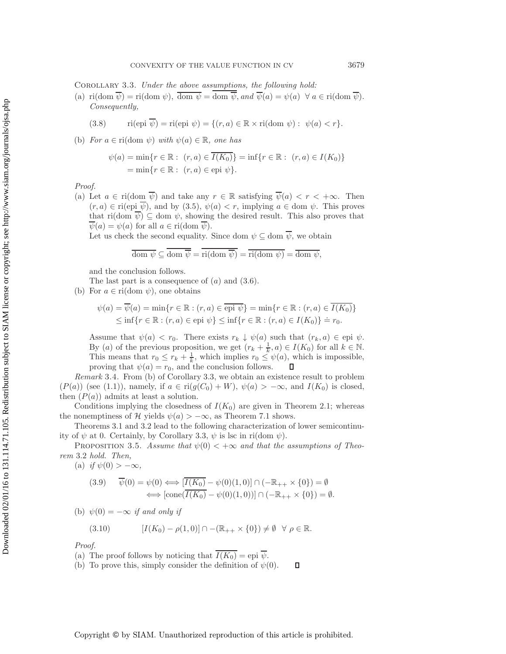<span id="page-6-0"></span>Corollary 3.3. *Under the above assumptions, the following hold:*

(a) ri(dom  $\overline{\psi}$ ) = ri(dom  $\psi$ ),  $\overline{\text{dom }\psi}$  = dom  $\overline{\psi}$ , and  $\overline{\psi}(a) = \psi(a) \ \forall a \in \text{ri}(\text{dom }\overline{\psi})$ . *Consequently,*

(3.8) 
$$
\text{ri}(\text{epi }\overline{\psi}) = \text{ri}(\text{epi }\psi) = \{(r, a) \in \mathbb{R} \times \text{ri}(\text{dom }\psi) : \psi(a) < r\}.
$$

(b) *For*  $a \in \text{ri}(\text{dom }\psi)$  *with*  $\psi(a) \in \mathbb{R}$ *, one has* 

$$
\psi(a) = \min \{ r \in \mathbb{R} : (r, a) \in \overline{I(K_0)} \} = \inf \{ r \in \mathbb{R} : (r, a) \in I(K_0) \} = \min \{ r \in \mathbb{R} : (r, a) \in \text{epi } \psi \}.
$$

*Proof.*

(a) Let  $a \in \text{ri}(\text{dom }\overline{\psi})$  and take any  $r \in \mathbb{R}$  satisfying  $\overline{\psi}(a) < r < +\infty$ . Then  $(r, a) \in \text{ri}(\text{epi } \overline{\psi})$ , and by  $(3.5)$ ,  $\psi(a) < r$ , implying  $a \in \text{dom } \psi$ . This proves that ri(dom  $\overline{\psi}$ )  $\subseteq$  dom  $\psi$ , showing the desired result. This also proves that  $\overline{\psi}(a) = \psi(a)$  for all  $a \in \text{ri}(\text{dom }\overline{\psi}).$ 

Let us check the second equality. Since dom  $\psi \subseteq$  dom  $\overline{\psi}$ , we obtain

$$
\overline{\text{dom }\psi} \subseteq \overline{\text{dom }\overline{\psi}} = \overline{\text{ri}(\text{dom }\overline{\psi})} = \overline{\text{ri}(\text{dom }\psi)} = \overline{\text{dom }\psi},
$$

and the conclusion follows.

The last part is a consequence of  $(a)$  and  $(3.6)$ .

(b) For  $a \in \text{ri}(\text{dom }\psi)$ , one obtains

$$
\psi(a) = \overline{\psi}(a) = \min\{r \in \mathbb{R} : (r, a) \in \overline{\text{epi }\psi}\} = \min\{r \in \mathbb{R} : (r, a) \in \overline{I(K_0)}\}
$$
  

$$
\leq \inf\{r \in \mathbb{R} : (r, a) \in \text{epi }\psi\} \leq \inf\{r \in \mathbb{R} : (r, a) \in I(K_0)\} = r_0.
$$

Assume that  $\psi(a) < r_0$ . There exists  $r_k \downarrow \psi(a)$  such that  $(r_k, a) \in \text{epi } \psi$ . By (a) of the previous proposition, we get  $(r_k + \frac{1}{k}, a) \in I(K_0)$  for all  $k \in \mathbb{N}$ . This means that  $r_0 \leq r_k + \frac{1}{k}$ , which implies  $r_0 \leq \psi(a)$ , which is impossible, proving that  $\psi(a) = r_0$ , and the conclusion follows.

<span id="page-6-1"></span>*Remark* 3.4. From (b) of Corollary [3.3,](#page-6-0) we obtain an existence result to problem  $(P(a))$  (see [\(1.1\)](#page-0-0)), namely, if  $a \in \text{ri}(g(C_0) + W)$ ,  $\psi(a) > -\infty$ , and  $I(K_0)$  is closed, then  $(P(a))$  admits at least a solution.

Conditions implying the closedness of  $I(K_0)$  are given in Theorem [2.1;](#page-2-1) whereas the nonemptiness of H yields  $\psi(a) > -\infty$ , as Theorem [7.1](#page-14-1) shows.

Theorems [3.1](#page-3-3) and [3.2](#page-4-2) lead to the following characterization of lower semicontinuity of  $\psi$  at 0. Certainly, by Corollary [3.3,](#page-6-0)  $\psi$  is lsc in ri(dom  $\psi$ ).

PROPOSITION 3.5. Assume that  $\psi(0) < +\infty$  and that the assumptions of Theo*rem* [3.2](#page-4-2) *hold. Then,*

(a) *if*  $\psi(0) > -\infty$ ,

$$
(3.9) \quad \overline{\psi}(0) = \psi(0) \Longleftrightarrow [\overline{I(K_0)} - \psi(0)(1,0)] \cap (-\mathbb{R}_{++} \times \{0\}) = \emptyset
$$

$$
\Longleftrightarrow [\text{cone}(\overline{I(K_0)} - \psi(0)(1,0))] \cap (-\mathbb{R}_{++} \times \{0\}) = \emptyset.
$$

(b)  $\psi(0) = -\infty$  *if and only if* 

(3.10) 
$$
[I(K_0) - \rho(1,0)] \cap -(\mathbb{R}_{++} \times \{0\}) \neq \emptyset \quad \forall \ \rho \in \mathbb{R}.
$$

*Proof.*

(a) The proof follows by noticing that  $\overline{I(K_0)} =$  epi  $\overline{\psi}$ .

(b) To prove this, simply consider the definition of  $\psi(0)$ .  $\Box$ 

Downloaded 02/01/16 to 131.114.71.105. Redistribution subject to SIAM license or copyright; see http://www.siam.org/journals/ojsa.php Downloaded 02/01/16 to 131.114.71.105. Redistribution subject to SIAM license or copyright; see http://www.siam.org/journals/ojsa.php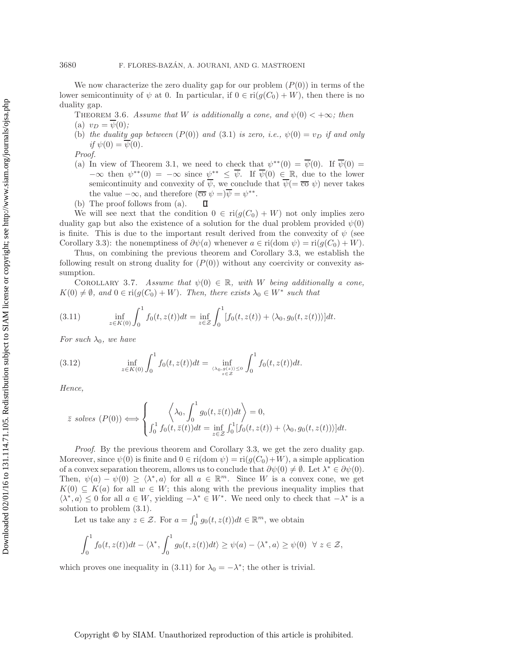We now characterize the zero duality gap for our problem  $(P(0))$  in terms of the lower semicontinuity of  $\psi$  at 0. In particular, if  $0 \in \text{ri}(g(C_0) + W)$ , then there is no duality gap.

<span id="page-7-3"></span>THEOREM 3.6. *Assume that* W *is additionally a cone, and*  $\psi(0) < +\infty$ *; then* 

(a)  $v_D = \psi(0)$ ;

(b) the duality gap between  $(P(0))$  and  $(3.1)$  is zero, i.e.,  $\psi(0) = v_D$  if and only  $if \psi(0) = \overline{\psi}(0)$ .

*Proof.*

- (a) In view of Theorem [3.1,](#page-3-3) we need to check that  $\psi^{**}(0) = \overline{\psi}(0)$ . If  $\overline{\psi}(0) =$  $-\infty$  then  $\psi^{**}(0) = -\infty$  since  $\psi^{**} \leq \overline{\psi}$ . If  $\overline{\psi}(0) \in \mathbb{R}$ , due to the lower semicontinuity and convexity of  $\overline{\psi}$ , we conclude that  $\overline{\psi}$  =  $\overline{co} \psi$ ) never takes the value  $-\infty$ , and therefore  $(\overline{\overline{\mathfrak{c}\mathfrak{o}}}\ \psi =)\overline{\psi} = \psi^{**}$ .
- (b) The proof follows from (a). П

We will see next that the condition  $0 \in ri(g(C_0) + W)$  not only implies zero duality gap but also the existence of a solution for the dual problem provided  $\psi(0)$ is finite. This is due to the important result derived from the convexity of  $\psi$  (see Corollary [3.3\)](#page-6-0): the nonemptiness of  $\partial \psi(a)$  whenever  $a \in \text{ri}(\text{dom }\psi) = \text{ri}(g(C_0) + W)$ .

Thus, on combining the previous theorem and Corollary [3.3,](#page-6-0) we establish the following result on strong duality for  $(P(0))$  without any coercivity or convexity assumption.

<span id="page-7-0"></span>COROLLARY 3.7. Assume that  $\psi(0) \in \mathbb{R}$ , with W being additionally a cone,  $K(0) \neq \emptyset$ , and  $0 \in \text{ri}(g(C_0) + W)$ . Then, there exists  $\lambda_0 \in W^*$  such that

<span id="page-7-1"></span>(3.11) 
$$
\inf_{z \in K(0)} \int_0^1 f_0(t, z(t)) dt = \inf_{z \in \mathcal{Z}} \int_0^1 [f_0(t, z(t)) + \langle \lambda_0, g_0(t, z(t)) \rangle] dt.
$$

<span id="page-7-2"></span>*For such*  $\lambda_0$ *, we have* 

(3.12) 
$$
\inf_{z \in K(0)} \int_0^1 f_0(t, z(t)) dt = \inf_{\langle \lambda_0, g(z) \rangle \le 0} \int_0^1 f_0(t, z(t)) dt.
$$

*Hence,*

$$
\bar{z} \text{ solves } (P(0)) \Longleftrightarrow \begin{cases} \left\langle \lambda_0, \int_0^1 g_0(t, \bar{z}(t)) dt \right\rangle = 0, \\ \int_0^1 f_0(t, \bar{z}(t)) dt = \inf_{z \in \mathcal{Z}} \int_0^1 [f_0(t, z(t)) + \langle \lambda_0, g_0(t, z(t)) \rangle] dt. \end{cases}
$$

*Proof*. By the previous theorem and Corollary [3.3,](#page-6-0) we get the zero duality gap. Moreover, since  $\psi(0)$  is finite and  $0 \in \text{ri}(\text{dom }\psi) = \text{ri}(g(C_0)+W)$ , a simple application of a convex separation theorem, allows us to conclude that  $\partial \psi(0) \neq \emptyset$ . Let  $\lambda^* \in \partial \psi(0)$ . Then,  $\psi(a) - \psi(0) \ge \langle \lambda^*, a \rangle$  for all  $a \in \mathbb{R}^m$ . Since W is a convex cone, we get  $K(0) \subseteq K(a)$  for all  $w \in W$ ; this along with the previous inequality implies that  $\langle \lambda^*, a \rangle \leq 0$  for all  $a \in W$ , yielding  $-\lambda^* \in W^*$ . We need only to check that  $-\lambda^*$  is a solution to problem [\(3.1\)](#page-3-1).

Let us take any  $z \in \mathcal{Z}$ . For  $a = \int_0^1 g_0(t, z(t)) dt \in \mathbb{R}^m$ , we obtain

$$
\int_0^1 f_0(t, z(t))dt - \langle \lambda^*, \int_0^1 g_0(t, z(t))dt \rangle \ge \psi(a) - \langle \lambda^*, a \rangle \ge \psi(0) \quad \forall \ z \in \mathcal{Z},
$$

which proves one inequality in [\(3.11\)](#page-7-1) for  $\lambda_0 = -\lambda^*$ ; the other is trivial.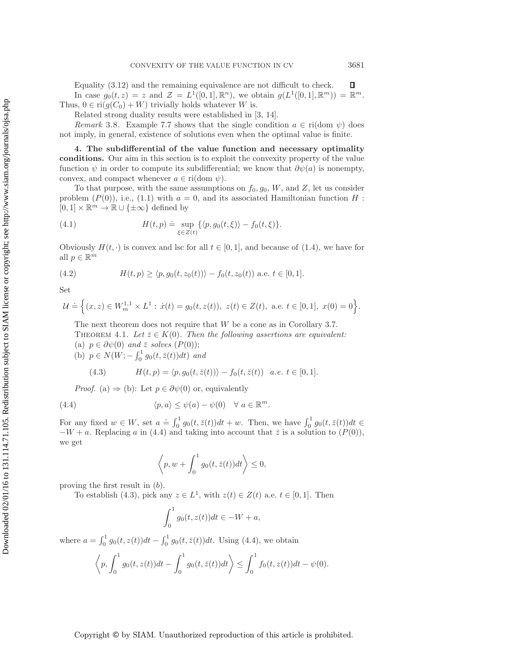Equality [\(3.12\)](#page-7-2) and the remaining equivalence are not difficult to check.  $\Box$ In case  $g_0(t, z) = z$  and  $\mathcal{Z} = L^1([0, 1], \mathbb{R}^n)$ , we obtain  $g(L^1([0, 1], \mathbb{R}^m)) = \mathbb{R}^m$ . Thus,  $0 \in \text{ri}(g(C_0) + W)$  trivially holds whatever W is.

Related strong duality results were established in [\[3,](#page-20-8) [14\]](#page-20-9).

*Remark* 3.8. Example [7.7](#page-17-0) shows that the single condition  $a \in \text{ri}(\text{dom }\psi)$  does not imply, in general, existence of solutions even when the optimal value is finite.

<span id="page-8-0"></span>**4. The subdifferential of the value function and necessary optimality conditions.** Our aim in this section is to exploit the convexity property of the value function  $\psi$  in order to compute its subdifferential; we know that  $\partial \psi(a)$  is nonempty, convex, and compact whenever  $a \in \text{ri}(\text{dom }\psi)$ .

To that purpose, with the same assumptions on  $f_0, g_0, W$ , and Z, let us consider problem  $(P(0))$ , i.e., [\(1.1\)](#page-0-0) with  $a = 0$ , and its associated Hamiltonian function H :  $[0, 1] \times \mathbb{R}^m \to \mathbb{R} \cup {\pm \infty}$  defined by

<span id="page-8-4"></span>(4.1) 
$$
H(t,p) \doteq \sup_{\xi \in Z(t)} \{ \langle p, g_0(t,\xi) \rangle - f_0(t,\xi) \}.
$$

<span id="page-8-5"></span>Obviously  $H(t, \cdot)$  is convex and lsc for all  $t \in [0, 1]$ , and because of [\(1.4\)](#page-1-0), we have for all  $p \in \mathbb{R}^m$ 

(4.2) 
$$
H(t,p) \ge \langle p, g_0(t,z_0(t)) \rangle - f_0(t,z_0(t)) \text{ a.e. } t \in [0,1].
$$

Set

$$
\mathcal{U} \doteq \Big\{(x,z)\in W^{1,1}_m\times L^1:\, \dot{x}(t)=g_0(t,z(t)),\,\, z(t)\in Z(t),\,\,\text{a.e.}\,\, t\in [0,1],\,\, x(0)=0\Big\}.
$$

<span id="page-8-3"></span>The next theorem does not require that W be a cone as in Corollary [3.7.](#page-7-0) THEOREM 4.1. Let  $\bar{z} \in K(0)$ . Then the following assertions are equivalent: (a)  $p \in \partial \psi(0)$  *and*  $\overline{z}$  *solves*  $(P(0))$ ;

(b)  $p \in N(W; -\int_0^1 g_0(t, \bar{z}(t)) dt)$  *and* 

(4.3) 
$$
H(t, p) = \langle p, g_0(t, \bar{z}(t)) \rangle - f_0(t, \bar{z}(t)) \quad a.e. \ t \in [0, 1].
$$

*Proof.* (a)  $\Rightarrow$  (b): Let  $p \in \partial \psi(0)$  or, equivalently

(4.4) 
$$
\langle p, a \rangle \leq \psi(a) - \psi(0) \quad \forall \ a \in \mathbb{R}^m.
$$

For any fixed  $w \in W$ , set  $a \doteq \int_0^1 g_0(t, \bar{z}(t)) dt + w$ . Then, we have  $\int_0^1 g_0(t, \bar{z}(t)) dt \in$  $-W + a$ . Replacing a in [\(4.4\)](#page-8-1) and taking into account that  $\bar{z}$  is a solution to  $(P(0))$ , we get

<span id="page-8-2"></span><span id="page-8-1"></span>
$$
\left\langle p, w + \int_0^1 g_0(t, \bar{z}(t))dt \right\rangle \le 0,
$$

proving the first result in (b).

To establish [\(4.3\)](#page-8-2), pick any  $z \in L^1$ , with  $z(t) \in Z(t)$  a.e.  $t \in [0,1]$ . Then

$$
\int_0^1 g_0(t, z(t))dt \in -W + a,
$$

where  $a = \int_0^1 g_0(t, z(t))dt - \int_0^1 g_0(t, \bar{z}(t))dt$ . Using [\(4.4\)](#page-8-1), we obtain

$$
\left\langle p, \int_0^1 g_0(t, z(t))dt - \int_0^1 g_0(t, \bar{z}(t))dt \right\rangle \le \int_0^1 f_0(t, z(t))dt - \psi(0).
$$

## Copyright © by SIAM. Unauthorized reproduction of this article is prohibited.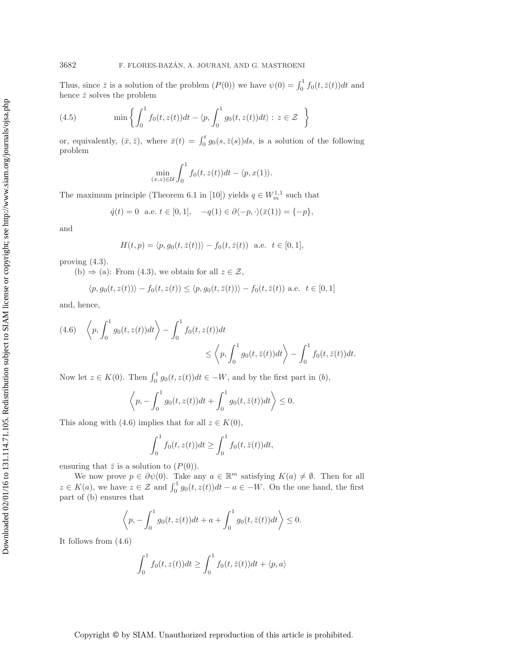Thus, since  $\bar{z}$  is a solution of the problem  $(P(0))$  we have  $\psi(0) = \int_0^1 f_0(t, \bar{z}(t))dt$  and hence  $\bar{z}$  solves the problem

(4.5) 
$$
\min \left\{ \int_0^1 f_0(t, z(t)) dt - \langle p, \int_0^1 g_0(t, z(t)) dt \rangle : z \in \mathcal{Z} \right\}
$$

or, equivalently,  $(\bar{x}, \bar{z})$ , where  $\bar{x}(t) = \int_0^t g_0(s, \bar{z}(s))ds$ , is a solution of the following problem

$$
\min_{(x,z)\in\mathcal{U}} \int_0^1 f_0(t,z(t))dt - \langle p,x(1)\rangle.
$$

The maximum principle (Theorem 6.1 in [\[10\]](#page-20-10)) yields  $q \in W_m^{1,1}$  such that

$$
\dot{q}(t) = 0
$$
 a.e.  $t \in [0, 1]$ ,  $-q(1) \in \partial \langle -p, \cdot \rangle (\bar{x}(1)) = \{-p\},$ 

and

$$
H(t, p) = \langle p, g_0(t, \bar{z}(t)) \rangle - f_0(t, \bar{z}(t)) \text{ a.e. } t \in [0, 1],
$$

proving [\(4.3\)](#page-8-2).

(b)  $\Rightarrow$  (a): From [\(4.3\)](#page-8-2), we obtain for all  $z \in \mathcal{Z}$ ,

$$
\langle p, g_0(t, z(t)) \rangle - f_0(t, z(t)) \le \langle p, g_0(t, \overline{z}(t)) \rangle - f_0(t, \overline{z}(t)) \text{ a.e. } t \in [0, 1]
$$

and, hence,

<span id="page-9-0"></span>
$$
(4.6) \left\langle p, \int_0^1 g_0(t, z(t))dt \right\rangle - \int_0^1 f_0(t, z(t))dt
$$
  

$$
\leq \left\langle p, \int_0^1 g_0(t, \overline{z}(t))dt \right\rangle - \int_0^1 f_0(t, \overline{z}(t))dt.
$$

Now let  $z \in K(0)$ . Then  $\int_0^1 g_0(t, z(t)) dt \in -W$ , and by the first part in  $(b)$ ,

$$
\left\langle p, -\int_0^1 g_0(t, z(t))dt + \int_0^1 g_0(t, \bar{z}(t))dt \right\rangle \le 0.
$$

This along with [\(4.6\)](#page-9-0) implies that for all  $z \in K(0)$ ,

$$
\int_0^1 f_0(t, z(t)) dt \ge \int_0^1 f_0(t, \bar{z}(t)) dt,
$$

ensuring that  $\bar{z}$  is a solution to  $(P(0))$ .

We now prove  $p \in \partial \psi(0)$ . Take any  $a \in \mathbb{R}^m$  satisfying  $K(a) \neq \emptyset$ . Then for all  $z \in K(a)$ , we have  $z \in \mathcal{Z}$  and  $\int_0^1 g_0(t, z(t))dt - a \in -W$ . On the one hand, the first part of (b) ensures that

$$
\left\langle p, -\int_0^1 g_0(t, z(t))dt + a + \int_0^1 g_0(t, \bar{z}(t))dt \right\rangle \le 0.
$$

It follows from [\(4.6\)](#page-9-0)

$$
\int_0^1 f_0(t, z(t))dt \ge \int_0^1 f_0(t, \bar{z}(t))dt + \langle p, a \rangle
$$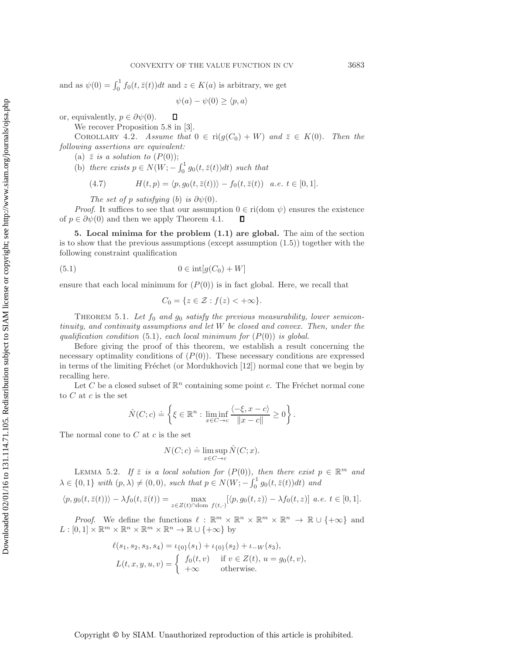and as  $\psi(0) = \int_0^1 f_0(t, \bar{z}(t)) dt$  and  $z \in K(a)$  is arbitrary, we get

$$
\psi(a) - \psi(0) \ge \langle p, a \rangle
$$

or, equivalently,  $p \in \partial \psi(0)$ .  $\Box$ 

We recover Proposition 5.8 in [\[3\]](#page-20-8).

<span id="page-10-3"></span>COROLLARY 4.2. *Assume that*  $0 \in ri(g(C_0) + W)$  *and*  $\overline{z} \in K(0)$ *. Then the following assertions are equivalent:*

(a)  $\overline{z}$  *is a solution to*  $(P(0))$ ;

(b) there exists  $p \in N(W; - \int_0^1 g_0(t, \bar{z}(t)) dt)$  such that

(4.7) 
$$
H(t, p) = \langle p, g_0(t, \bar{z}(t)) \rangle - f_0(t, \bar{z}(t)) \quad a.e. \ t \in [0, 1].
$$

*The set of* p *satisfying* (b) *is*  $\partial \psi(0)$ *.* 

*Proof.* It suffices to see that our assumption  $0 \in \text{ri}(\text{dom }\psi)$  ensures the existence of  $p \in \partial \psi(0)$  and then we apply Theorem [4.1.](#page-8-3) Д

<span id="page-10-0"></span>**5. Local minima for the problem [\(1.1\)](#page-0-0) are global.** The aim of the section is to show that the previous assumptions (except assumption  $(1.5)$ ) together with the following constraint qualification

$$
(5.1) \t\t 0 \in \mathrm{int}[g(C_0) + W]
$$

ensure that each local minimum for  $(P(0))$  is in fact global. Here, we recall that

<span id="page-10-1"></span>
$$
C_0 = \{ z \in \mathcal{Z} : f(z) < +\infty \}.
$$

THEOREM 5.1. Let  $f_0$  and  $g_0$  satisfy the previous measurability, lower semicon*tinuity, and continuity assumptions and let* W *be closed and convex. Then, under the qualification condition* [\(5.1\)](#page-10-1)*, each local minimum for* (P(0)) *is global.*

Before giving the proof of this theorem, we establish a result concerning the necessary optimality conditions of  $(P(0))$ . These necessary conditions are expressed in terms of the limiting Fréchet (or Mordukhovich [\[12\]](#page-20-11)) normal cone that we begin by recalling here.

Let C be a closed subset of  $\mathbb{R}^n$  containing some point c. The Fréchet normal cone to  $C$  at  $c$  is the set

$$
\hat{N}(C;c) \doteq \left\{ \xi \in \mathbb{R}^n : \liminf_{x \in C \to c} \frac{\langle -\xi, x - c \rangle}{\|x - c\|} \ge 0 \right\}.
$$

The normal cone to  $C$  at  $c$  is the set

$$
N(C; c) \doteq \limsup_{x \in C \to c} \hat{N}(C; x).
$$

<span id="page-10-2"></span>LEMMA 5.2. *If*  $\overline{z}$  *is a local solution for*  $(P(0))$ *, then there exist*  $p \in \mathbb{R}^m$  *and*  $\lambda \in \{0,1\}$  with  $(p, \lambda) \neq (0,0)$ *, such that*  $p \in N(W; -\int_0^1 g_0(t, \bar{z}(t)) dt)$  and

$$
\langle p, g_0(t, \bar{z}(t)) \rangle - \lambda f_0(t, \bar{z}(t)) = \max_{z \in Z(t) \cap \text{dom } f(t, \cdot)} [\langle p, g_0(t, z) \rangle - \lambda f_0(t, z)] \ a.e. \ t \in [0, 1].
$$

*Proof.* We define the functions  $\ell : \mathbb{R}^m \times \mathbb{R}^n \times \mathbb{R}^m \times \mathbb{R}^n \to \mathbb{R} \cup \{+\infty\}$  and  $L : [0,1] \times \mathbb{R}^m \times \mathbb{R}^n \times \mathbb{R}^m \times \mathbb{R}^n \to \mathbb{R} \cup \{+\infty\}$  by

$$
\ell(s_1, s_2, s_3, s_4) = \iota_{\{0\}}(s_1) + \iota_{\{0\}}(s_2) + \iota_{-W}(s_3),
$$
  
\n
$$
L(t, x, y, u, v) = \begin{cases} f_0(t, v) & \text{if } v \in Z(t), u = g_0(t, v), \\ +\infty & \text{otherwise.} \end{cases}
$$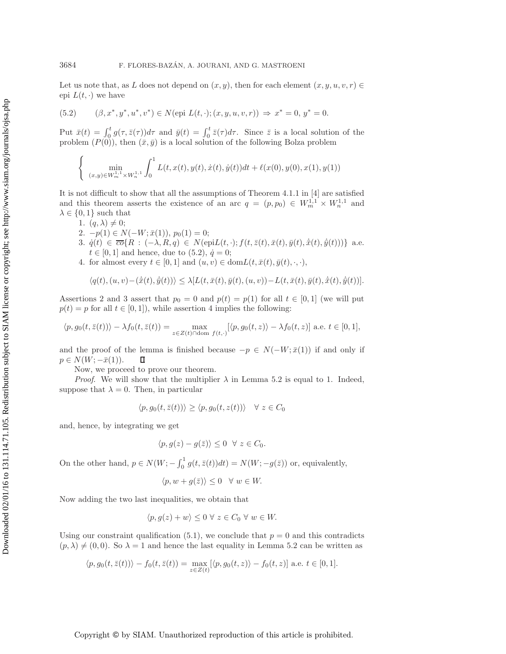Let us note that, as L does not depend on  $(x, y)$ , then for each element  $(x, y, u, v, r) \in$ epi  $L(t, \cdot)$  we have

<span id="page-11-0"></span>(5.2) 
$$
(\beta, x^*, y^*, u^*, v^*) \in N(\text{epi } L(t, \cdot); (x, y, u, v, r)) \Rightarrow x^* = 0, y^* = 0.
$$

Put  $\bar{x}(t) = \int_0^t g(\tau, \bar{z}(\tau)) d\tau$  and  $\bar{y}(t) = \int_0^t \bar{z}(\tau) d\tau$ . Since  $\bar{z}$  is a local solution of the problem  $(P(0))$ , then  $(\bar{x}, \bar{y})$  is a local solution of the following Bolza problem

$$
\begin{cases} \min_{(x,y)\in W_m^{1,1}\times W_n^{1,1}} \int_0^1 L(t,x(t),y(t),\dot{x}(t),\dot{y}(t))dt + \ell(x(0),y(0),x(1),y(1)) \end{cases}
$$

It is not difficult to show that all the assumptions of Theorem 4.1.1 in [\[4\]](#page-20-12) are satisfied and this theorem asserts the existence of an arc  $q = (p, p_0) \in W_m^{1,1} \times W_n^{1,1}$  and  $\lambda \in \{0, 1\}$  such that

- 1.  $(q, \lambda) \neq 0$ ;
- 2.  $-p(1) \in N(-W; \bar{x}(1)), p_0(1) = 0;$
- 3.  $\dot{q}(t) \in \overline{co} \{R : (-\lambda, R, q) \in N(\text{epi}L(t, \cdot); f(t, \overline{z}(t), \overline{x}(t), \overline{y}(t), \dot{\overline{x}}(t), \dot{\overline{y}}(t)))\}$  a.e.  $t \in [0, 1]$  and hence, due to  $(5.2), \dot{q} = 0;$  $(5.2), \dot{q} = 0;$
- 4. for almost every  $t \in [0,1]$  and  $(u, v) \in \text{dom} L(t, \bar{x}(t), \bar{y}(t), \cdot, \cdot)$ ,

$$
\langle q(t), (u,v)-(\dot{\bar{x}}(t),\dot{\bar{y}}(t))\rangle \leq \lambda [L(t,\bar{x}(t),\bar{y}(t),(u,v))-L(t,\bar{x}(t),\bar{y}(t),\dot{\bar{x}}(t),\dot{\bar{y}}(t))].
$$

Assertions 2 and 3 assert that  $p_0 = 0$  and  $p(t) = p(1)$  for all  $t \in [0, 1]$  (we will put  $p(t) = p$  for all  $t \in [0, 1]$ , while assertion 4 implies the following:

$$
\langle p, g_0(t, \bar{z}(t)) \rangle - \lambda f_0(t, \bar{z}(t)) = \max_{z \in Z(t) \cap \text{dom } f(t, \cdot)} [\langle p, g_0(t, z) \rangle - \lambda f_0(t, z)] \text{ a.e. } t \in [0, 1],
$$

and the proof of the lemma is finished because  $-p \in N(-W; \bar{x}(1))$  if and only if  $p \in N(W; -\bar{x}(1)).$ П

Now, we proceed to prove our theorem.

*Proof.* We will show that the multiplier  $\lambda$  in Lemma [5.2](#page-10-2) is equal to 1. Indeed, suppose that  $\lambda = 0$ . Then, in particular

$$
\langle p, g_0(t, \bar{z}(t)) \rangle \ge \langle p, g_0(t, z(t)) \rangle \quad \forall \ z \in C_0
$$

and, hence, by integrating we get

$$
\langle p, g(z) - g(\bar{z}) \rangle \le 0 \quad \forall \ z \in C_0.
$$

On the other hand,  $p \in N(W; -\int_0^1 g(t, \bar{z}(t))dt) = N(W; -g(\bar{z}))$  or, equivalently,

$$
\langle p, w + g(\bar{z}) \rangle \le 0 \quad \forall \ w \in W.
$$

Now adding the two last inequalities, we obtain that

$$
\langle p, g(z) + w \rangle \le 0 \ \forall \ z \in C_0 \ \forall \ w \in W.
$$

Using our constraint qualification [\(5.1\)](#page-10-1), we conclude that  $p = 0$  and this contradicts  $(p, \lambda) \neq (0, 0)$ . So  $\lambda = 1$  and hence the last equality in Lemma [5.2](#page-10-2) can be written as

$$
\langle p, g_0(t, \bar{z}(t)) \rangle - f_0(t, \bar{z}(t)) = \max_{z \in Z(t)} [\langle p, g_0(t, z) \rangle - f_0(t, z)] \text{ a.e. } t \in [0, 1].
$$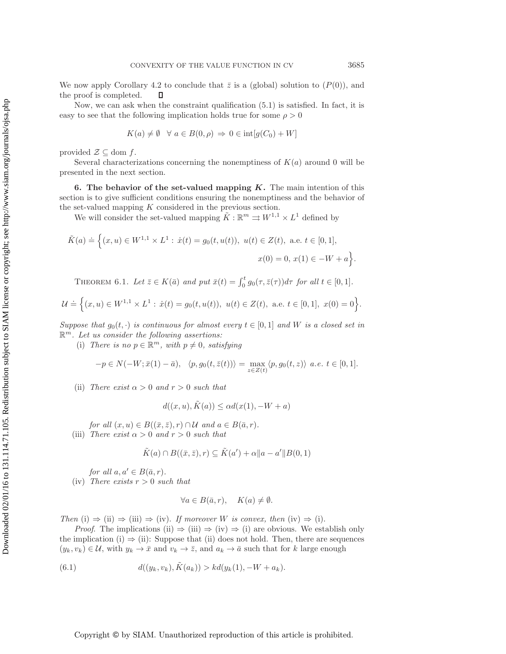We now apply Corollary [4.2](#page-10-3) to conclude that  $\bar{z}$  is a (global) solution to  $(P(0))$ , and  $\Box$ the proof is completed.

Now, we can ask when the constraint qualification [\(5.1\)](#page-10-1) is satisfied. In fact, it is easy to see that the following implication holds true for some  $\rho > 0$ 

$$
K(a) \neq \emptyset \quad \forall \ a \in B(0, \rho) \Rightarrow 0 \in \text{int}[g(C_0) + W]
$$

provided  $\mathcal{Z} \subseteq$  dom f.

Several characterizations concerning the nonemptiness of  $K(a)$  around 0 will be presented in the next section.

<span id="page-12-0"></span>**6. The behavior of the set-valued mapping** *K***.** The main intention of this section is to give sufficient conditions ensuring the nonemptiness and the behavior of the set-valued mapping K considered in the previous section.

We will consider the set-valued mapping  $\tilde{K}: \mathbb{R}^m \rightrightarrows W^{1,1} \times L^1$  defined by

$$
\tilde{K}(a) \doteq \Big\{ (x, u) \in W^{1,1} \times L^1 : \dot{x}(t) = g_0(t, u(t)), \ u(t) \in Z(t), \text{ a.e. } t \in [0, 1],
$$
  

$$
x(0) = 0, \ x(1) \in -W + a \Big\}.
$$

THEOREM 6.1. Let  $\bar{z} \in K(\bar{a})$  and put  $\bar{x}(t) = \int_0^t g_0(\tau, \bar{z}(\tau))d\tau$  for all  $t \in [0, 1]$ .

$$
\mathcal{U} \doteq \Big\{(x, u) \in W^{1,1} \times L^1 : \dot{x}(t) = g_0(t, u(t)), \ u(t) \in Z(t), \text{ a.e. } t \in [0,1], \ x(0) = 0\Big\}.
$$

*Suppose that*  $g_0(t, \cdot)$  *is continuous for almost every*  $t \in [0, 1]$  *and W is a closed set in* R<sup>m</sup>*. Let us consider the following assertions:*

(i) *There is no*  $p \in \mathbb{R}^m$ *, with*  $p \neq 0$ *, satisfying* 

$$
-p \in N(-W; \bar{x}(1) - \bar{a}), \quad \langle p, g_0(t, \bar{z}(t)) \rangle = \max_{z \in Z(t)} \langle p, g_0(t, z) \rangle \ a.e. \ t \in [0, 1].
$$

(ii) *There exist*  $\alpha > 0$  *and*  $r > 0$  *such that* 

$$
d((x, u), \tilde{K}(a)) \le \alpha d(x(1), -W + a)
$$

*for all*  $(x, u) \in B((\bar{x}, \bar{z}), r) \cap \mathcal{U}$  *and*  $a \in B(\bar{a}, r)$ *.* (iii) *There exist*  $\alpha > 0$  *and*  $r > 0$  *such that* 

$$
\tilde{K}(a) \cap B((\bar{x}, \bar{z}), r) \subseteq \tilde{K}(a') + \alpha \|a - a'\| B(0, 1)
$$

*for all*  $a, a' \in B(\bar{a}, r)$ *.* 

 $(iv)$  *There exists*  $r > 0$  *such that* 

$$
\forall a \in B(\bar{a}, r), \quad K(a) \neq \emptyset.
$$

*Then* (i)  $\Rightarrow$  (ii)  $\Rightarrow$  (iii)  $\Rightarrow$  (iv). *If moreover W is convex, then* (iv)  $\Rightarrow$  (i).

*Proof.* The implications (ii)  $\Rightarrow$  (iii)  $\Rightarrow$  (iv)  $\Rightarrow$  (i) are obvious. We establish only the implication (i)  $\Rightarrow$  (ii): Suppose that (ii) does not hold. Then, there are sequences  $(y_k, v_k) \in \mathcal{U}$ , with  $y_k \to \bar{x}$  and  $v_k \to \bar{z}$ , and  $a_k \to \bar{a}$  such that for k large enough

<span id="page-12-1"></span>(6.1) 
$$
d((y_k, v_k), \tilde{K}(a_k)) > kd(y_k(1), -W + a_k).
$$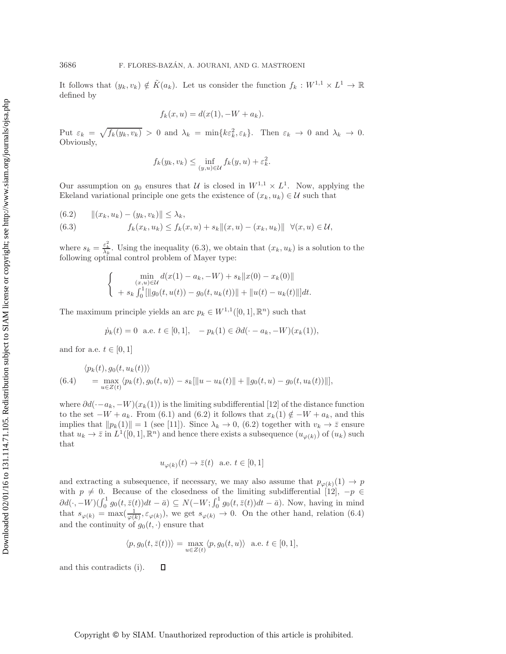It follows that  $(y_k, v_k) \notin \tilde{K}(a_k)$ . Let us consider the function  $f_k : W^{1,1} \times L^1 \to \mathbb{R}$ defined by

$$
f_k(x, u) = d(x(1), -W + a_k).
$$

Put  $\varepsilon_k = \sqrt{f_k(y_k, v_k)} > 0$  and  $\lambda_k = \min\{k \varepsilon_k^2, \varepsilon_k\}$ . Then  $\varepsilon_k \to 0$  and  $\lambda_k \to 0$ . Obviously,

$$
f_k(y_k, v_k) \le \inf_{(y,u)\in\mathcal{U}} f_k(y, u) + \varepsilon_k^2.
$$

Our assumption on  $g_0$  ensures that U is closed in  $W^{1,1} \times L^1$ . Now, applying the Ekeland variational principle one gets the existence of  $(x_k, u_k) \in \mathcal{U}$  such that

<span id="page-13-0"></span>(6.2) 
$$
||(x_k, u_k) - (y_k, v_k)|| \leq \lambda_k, (6.3) \t f_k(x_k, u_k) \leq f_k(x, u) + s_k||(x, u) - (x_k, u_k)|| \quad \forall (x, u) \in \mathcal{U},
$$

where  $s_k = \frac{\varepsilon_k^2}{\lambda_k}$ . Using the inequality [\(6.3\)](#page-13-0), we obtain that  $(x_k, u_k)$  is a solution to the following optimal control problem of Mayor type: following optimal control problem of Mayer type:

$$
\begin{cases}\n\min_{(x,u)\in\mathcal{U}} d(x(1) - a_k, -W) + s_k ||x(0) - x_k(0)|| \\
+ s_k \int_0^1 [||g_0(t, u(t)) - g_0(t, u_k(t))|| + ||u(t) - u_k(t)||]dt.\n\end{cases}
$$

The maximum principle yields an arc  $p_k \in W^{1,1}([0,1], \mathbb{R}^n)$  such that

$$
\dot{p}_k(t) = 0
$$
 a.e.  $t \in [0, 1], \quad -p_k(1) \in \partial d(-a_k, -W)(x_k(1)),$ 

and for a.e.  $t \in [0, 1]$ 

<span id="page-13-1"></span>
$$
\langle p_k(t), g_0(t, u_k(t)) \rangle
$$
  
(6.4) =  $\max_{u \in Z(t)} \langle p_k(t), g_0(t, u) \rangle - s_k[||u - u_k(t)|| + ||g_0(t, u) - g_0(t, u_k(t))||],$ 

where  $\partial d(-a_k, -W)(x_k(1))$  is the limiting subdifferential [\[12\]](#page-20-11) of the distance function to the set  $-W + a_k$ . From [\(6.1\)](#page-12-1) and [\(6.2\)](#page-13-0) it follows that  $x_k(1) \notin -W + a_k$ , and this implies that  $||p_k(1)|| = 1$  (see [\[11\]](#page-20-13)). Since  $\lambda_k \to 0$ , [\(6.2\)](#page-13-0) together with  $v_k \to \overline{z}$  ensure that  $u_k \to \bar{z}$  in  $L^1([0,1], \mathbb{R}^n)$  and hence there exists a subsequence  $(u_{\varphi(k)})$  of  $(u_k)$  such that

$$
u_{\varphi(k)}(t) \to \bar{z}(t)
$$
 a.e.  $t \in [0,1]$ 

and extracting a subsequence, if necessary, we may also assume that  $p_{\varphi(k)}(1) \to p$ with  $p \neq 0$ . Because of the closedness of the limiting subdifferential [\[12\]](#page-20-11),  $-p \in$  $\partial d(\cdot, -W)(\int_0^1 g_0(t, \bar{z}(t))dt - \bar{a}) \subseteq N(-W; \int_0^1 g_0(t, \bar{z}(t))dt - \bar{a})$ . Now, having in mind that  $s_{\varphi(k)} = \max(\frac{1}{\varphi(k)}, \varepsilon_{\varphi(k)})$ , we get  $s_{\varphi(k)} \to 0$ . On the other hand, relation [\(6.4\)](#page-13-1) and the continuity of  $g_0(t, \cdot)$  ensure that

$$
\langle p, g_0(t, \bar{z}(t)) \rangle = \max_{u \in Z(t)} \langle p, g_0(t, u) \rangle \ \text{ a.e. } t \in [0, 1],
$$

and this contradicts (i).

 $\Box$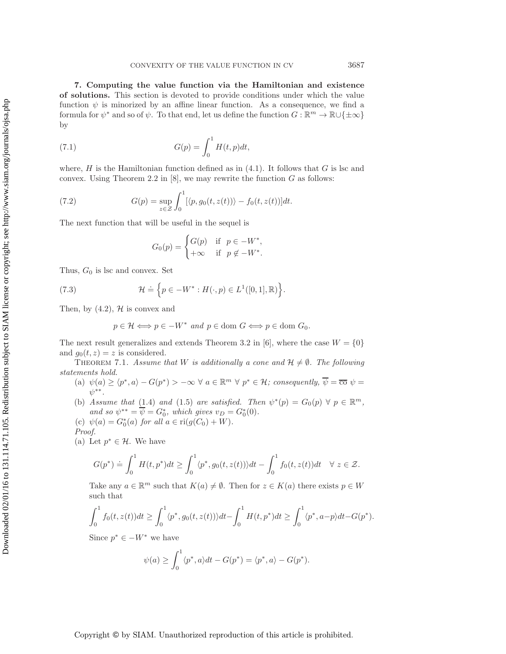<span id="page-14-0"></span>**7. Computing the value function via the Hamiltonian and existence of solutions.** This section is devoted to provide conditions under which the value function  $\psi$  is minorized by an affine linear function. As a consequence, we find a formula for  $\psi^*$  and so of  $\psi$ . To that end, let us define the function  $G : \mathbb{R}^m \to \mathbb{R} \cup \{\pm \infty\}$ by

(7.1) 
$$
G(p) = \int_0^1 H(t, p) dt,
$$

where,  $H$  is the Hamiltonian function defined as in  $(4.1)$ . It follows that G is lsc and convex. Using Theorem 2.2 in  $[8]$ , we may rewrite the function G as follows:

(7.2) 
$$
G(p) = \sup_{z \in \mathcal{Z}} \int_0^1 [\langle p, g_0(t, z(t)) \rangle - f_0(t, z(t))] dt.
$$

The next function that will be useful in the sequel is

$$
G_0(p) = \begin{cases} G(p) & \text{if } p \in -W^*, \\ +\infty & \text{if } p \notin -W^*. \end{cases}
$$

Thus,  $G_0$  is lsc and convex. Set

(7.3) 
$$
\mathcal{H} \doteq \left\{ p \in -W^* : H(\cdot, p) \in L^1([0,1], \mathbb{R}) \right\}.
$$

Then, by  $(4.2)$ ,  $H$  is convex and

$$
p \in \mathcal{H} \Longleftrightarrow p \in -W^* \text{ and } p \in \text{dom } G \Longleftrightarrow p \in \text{dom } G_0.
$$

The next result generalizes and extends Theorem 3.2 in [\[6\]](#page-20-3), where the case  $W = \{0\}$ and  $g_0(t, z) = z$  is considered.

<span id="page-14-1"></span>THEOREM 7.1. *Assume that* W *is additionally a cone and*  $H \neq \emptyset$ . The following *statements hold.*

- (a)  $\psi(a) \ge \langle p^*, a \rangle G(p^*) > -\infty \ \forall \ a \in \mathbb{R}^m \ \forall \ p^* \in \mathcal{H}$ ; consequently,  $\overline{\psi} = \overline{\text{co}} \ \psi =$ ψ∗∗*.*
- (b) *Assume that* [\(1.4\)](#page-1-0) *and* [\(1.5\)](#page-1-1) *are satisfied. Then*  $\psi^*(p) = G_0(p) \ \forall \ p \in \mathbb{R}^m$ , *and so*  $\psi^{**} = \overline{\psi} = G_0^*$ , which gives  $v_D = G_0^*(0)$ .
- (c)  $\psi(a) = G_0^*(a)$  *for all*  $a \in \text{ri}(g(C_0) + W)$ *. Proof.*
- (a) Let  $p^* \in \mathcal{H}$ . We have

$$
G(p^*) \doteq \int_0^1 H(t, p^*) dt \ge \int_0^1 \langle p^*, g_0(t, z(t)) \rangle dt - \int_0^1 f_0(t, z(t)) dt \quad \forall \ z \in \mathcal{Z}.
$$

Take any  $a \in \mathbb{R}^m$  such that  $K(a) \neq \emptyset$ . Then for  $z \in K(a)$  there exists  $p \in W$ such that

$$
\int_0^1 f_0(t, z(t))dt \ge \int_0^1 \langle p^*, g_0(t, z(t)) \rangle dt - \int_0^1 H(t, p^*)dt \ge \int_0^1 \langle p^*, a-p \rangle dt - G(p^*).
$$

Since  $p^* \in -W^*$  we have

$$
\psi(a) \ge \int_0^1 \langle p^*, a \rangle dt - G(p^*) = \langle p^*, a \rangle - G(p^*).
$$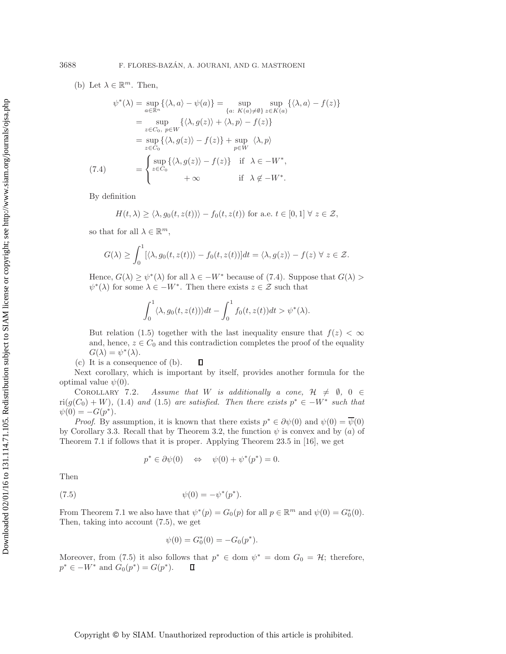(b) Let  $\lambda \in \mathbb{R}^m$ . Then,

<span id="page-15-0"></span>
$$
\psi^*(\lambda) = \sup_{a \in \mathbb{R}^n} \{ \langle \lambda, a \rangle - \psi(a) \} = \sup_{\{a: K(a) \neq \emptyset\}} \sup_{z \in K(a)} \{ \langle \lambda, a \rangle - f(z) \}
$$

$$
= \sup_{z \in C_0, p \in W} \{ \langle \lambda, g(z) \rangle + \langle \lambda, p \rangle - f(z) \}
$$

$$
= \sup_{z \in C_0} \{ \langle \lambda, g(z) \rangle - f(z) \} + \sup_{p \in W} \langle \lambda, p \rangle
$$

$$
(7.4) = \begin{cases} \sup_{z \in C_0} \{ \langle \lambda, g(z) \rangle - f(z) \} & \text{if } \lambda \in -W^*, \\ \sup_{z \in C_0} \{ \lambda, g(z) \rangle - f(z) \} & \text{if } \lambda \notin -W^*. \end{cases}
$$

By definition

$$
H(t,\lambda) \ge \langle \lambda, g_0(t,z(t)) \rangle - f_0(t,z(t))
$$
 for a.e.  $t \in [0,1] \ \forall \ z \in \mathcal{Z}$ ,

so that for all  $\lambda \in \mathbb{R}^m$ ,

$$
G(\lambda) \ge \int_0^1 [\langle \lambda, g_0(t, z(t)) \rangle - f_0(t, z(t))]dt = \langle \lambda, g(z) \rangle - f(z) \ \forall \ z \in \mathcal{Z}.
$$

Hence,  $G(\lambda) \geq \psi^*(\lambda)$  for all  $\lambda \in -W^*$  because of [\(7.4\)](#page-15-0). Suppose that  $G(\lambda)$  $\psi^*(\lambda)$  for some  $\lambda \in -W^*$ . Then there exists  $z \in \mathcal{Z}$  such that

$$
\int_0^1 \langle \lambda, g_0(t, z(t)) \rangle dt - \int_0^1 f_0(t, z(t)) dt > \psi^*(\lambda).
$$

But relation [\(1.5\)](#page-1-1) together with the last inequality ensure that  $f(z) < \infty$ and, hence,  $z \in C_0$  and this contradiction completes the proof of the equality  $G(\lambda) = \psi^*(\lambda).$ 

(c) It is a consequence of (b).  $\Box$ 

Next corollary, which is important by itself, provides another formula for the optimal value  $\psi(0)$ .

COROLLARY 7.2. Assume that W is additionally a cone,  $H \neq \emptyset$ ,  $0 \in$  $\text{ri}(g(C_0) + W)$ , [\(1.4\)](#page-1-0) and [\(1.5\)](#page-1-1) are satisfied. Then there exists  $p^* \in -W^*$  such that  $\psi(0) = -G(p^*).$ 

*Proof.* By assumption, it is known that there exists  $p^* \in \partial \psi(0)$  and  $\psi(0) = \overline{\psi}(0)$ by Corollary [3.3.](#page-6-0) Recall that by Theorem [3.2,](#page-4-2) the function  $\psi$  is convex and by (a) of Theorem [7.1](#page-14-1) if follows that it is proper. Applying Theorem 23.5 in [\[16\]](#page-20-6), we get

$$
p^* \in \partial \psi(0) \quad \Leftrightarrow \quad \psi(0) + \psi^*(p^*) = 0.
$$

<span id="page-15-1"></span>Then

(7.5) 
$$
\psi(0) = -\psi^*(p^*).
$$

From Theorem [7.1](#page-14-1) we also have that  $\psi^*(p) = G_0(p)$  for all  $p \in \mathbb{R}^m$  and  $\psi(0) = G_0^*(0)$ . Then, taking into account [\(7.5\)](#page-15-1), we get

$$
\psi(0) = G_0^*(0) = -G_0(p^*).
$$

Moreover, from [\(7.5\)](#page-15-1) it also follows that  $p^* \in \text{dom } \psi^* = \text{dom } G_0 = \mathcal{H}$ ; therefore,  $p^* \in -W^*$  and  $G_0(p^*) = G(p^*)$ .  $\Box$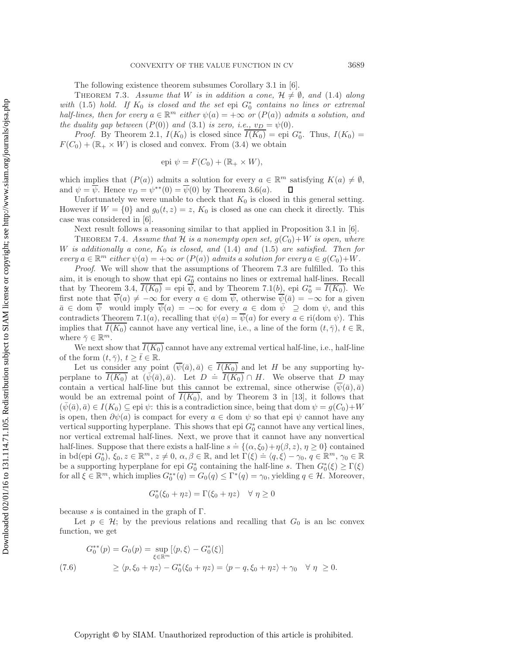The following existence theorem subsumes Corollary 3.1 in [\[6\]](#page-20-3).

<span id="page-16-1"></span>THEOREM 7.3. *Assume that* W *is in addition a cone,*  $H \neq \emptyset$ , and [\(1.4\)](#page-1-0) *along with* [\(1.5\)](#page-1-1) *hold.* If  $K_0$  *is closed and the set* epi  $G_0^*$  *contains no lines or extremal half-lines, then for every*  $a \in \mathbb{R}^m$  *either*  $\psi(a) = +\infty$  *or*  $(P(a))$  *admits a solution, and the duality gap between*  $(P(0))$  *and*  $(3.1)$  *is zero, i.e.,*  $v_D = \psi(0)$ *.* 

*Proof.* By Theorem [2.1,](#page-2-1)  $I(K_0)$  is closed since  $\overline{I(K_0)} =$  epi  $G_0^*$ . Thus,  $I(K_0) =$  $F(C_0)+(\mathbb{R}_+ \times W)$  is closed and convex. From [\(3.4\)](#page-4-0) we obtain

$$
epi \psi = F(C_0) + (\mathbb{R}_+ \times W),
$$

which implies that  $(P(a))$  admits a solution for every  $a \in \mathbb{R}^m$  satisfying  $K(a) \neq \emptyset$ , and  $\psi = \psi$ . Hence  $v_D = \psi^{**}(0) = \psi(0)$  by Theorem [3.6\(](#page-7-3)*a*).  $\Box$ 

Unfortunately we were unable to check that  $K_0$  is closed in this general setting. However if  $W = \{0\}$  and  $g_0(t, z) = z$ ,  $K_0$  is closed as one can check it directly. This case was considered in [\[6\]](#page-20-3).

Next result follows a reasoning similar to that applied in Proposition 3.1 in [\[6\]](#page-20-3).

<span id="page-16-2"></span>THEOREM 7.4. *Assume that*  $H$  *is a nonempty open set,*  $g(C_0) + W$  *is open, where* W is additionally a cone,  $K_0$  is closed, and [\(1.4\)](#page-1-0) and [\(1.5\)](#page-1-1) are satisfied. Then for  $every \ a \in \mathbb{R}^m$  *either*  $\psi(a) = +\infty$  *or*  $(P(a))$  *admits a solution for every*  $a \in g(C_0)+W$ .

*Proof*. We will show that the assumptions of Theorem 7.3 are fulfilled. To this aim, it is enough to show that epi  $G_0^*$  contains no lines or extremal half-lines. Recall that by Theorem [3.4,](#page-4-0)  $\overline{I(K_0)} =$ epi  $\overline{\psi}$ , and by Theorem [7.1\(](#page-14-1)b), epi  $G_0^* = \overline{I(K_0)}$ . We first note that  $\overline{\psi}(a) \neq -\infty$  for every  $a \in \text{dom } \overline{\psi}$ , otherwise  $\overline{\psi}(\overline{a}) = -\infty$  for a given  $\bar{a} \in \text{dom } \overline{\psi}$  would imply  $\overline{\psi}(a) = -\infty$  for every  $a \in \text{dom } \overline{\psi} \supseteq \text{dom } \psi$ , and this contradicts Theorem [7.1\(](#page-14-1)a), recalling that  $\psi(a) = \overline{\psi}(a)$  for every  $a \in \text{ri}(\text{dom }\psi)$ . This implies that  $I(K_0)$  cannot have any vertical line, i.e., a line of the form  $(t, \bar{\gamma})$ ,  $t \in \mathbb{R}$ , where  $\bar{\gamma} \in \mathbb{R}^m$ .

We next show that  $I(K_0)$  cannot have any extremal vertical half-line, i.e., half-line of the form  $(t, \bar{\gamma}), t \geq \bar{t} \in \mathbb{R}$ .

Let us consider any point  $(\psi(\bar{a}), \bar{a}) \in I(K_0)$  and let H be any supporting hyperplane to  $\overline{I(K_0)}$  at  $(\bar{\psi}(\bar{a}), \bar{a})$ . Let  $D = \overline{I(K_0)} \cap H$ . We observe that D may contain a vertical half-line but this cannot be extremal, since otherwise  $(\overline{\psi}(\overline{a}), \overline{a})$ would be an extremal point of  $I(K_0)$ , and by Theorem 3 in [\[13\]](#page-20-5), it follows that  $(\psi(\bar{a}), \bar{a}) \in I(K_0) \subseteq$  epi  $\psi$ : this is a contradiction since, being that dom  $\psi = g(C_0) + W$ is open, then  $\partial \psi(a)$  is compact for every  $a \in \text{dom } \psi$  so that epi  $\psi$  cannot have any vertical supporting hyperplane. This shows that epi  $G_0^*$  cannot have any vertical lines, nor vertical extremal half-lines. Next, we prove that it cannot have any nonvertical half-lines. Suppose that there exists a half-line  $s = \{(\alpha, \xi_0) + \eta(\beta, z), \eta \ge 0\}$  contained in bd(epi  $G_0^*$ ),  $\xi_0, z \in \mathbb{R}^m$ ,  $z \neq 0$ ,  $\alpha, \beta \in \mathbb{R}$ , and let  $\Gamma(\xi) \doteq \langle q, \xi \rangle - \gamma_0$ ,  $q \in \mathbb{R}^m$ ,  $\gamma_0 \in \mathbb{R}$ be a supporting hyperplane for epi  $G_0^*$  containing the half-line s. Then  $G_0^*(\xi) \geq \Gamma(\xi)$ for all  $\xi \in \mathbb{R}^m$ , which implies  $G_0^{**}(q) = G_0(q) \leq \Gamma^*(q) = \gamma_0$ , yielding  $q \in \mathcal{H}$ . Moreover,

$$
G_0^*(\xi_0 + \eta z) = \Gamma(\xi_0 + \eta z) \quad \forall \ \eta \ge 0
$$

because s is contained in the graph of  $\Gamma$ .

Let  $p \in \mathcal{H}$ ; by the previous relations and recalling that  $G_0$  is an lsc convex function, we get

<span id="page-16-0"></span>
$$
G_0^{**}(p) = G_0(p) = \sup_{\xi \in \mathbb{R}^m} [\langle p, \xi \rangle - G_0^*(\xi)]
$$
  
(7.6) 
$$
\geq \langle p, \xi_0 + \eta z \rangle - G_0^*(\xi_0 + \eta z) = \langle p - q, \xi_0 + \eta z \rangle + \gamma_0 \quad \forall \eta \geq 0.
$$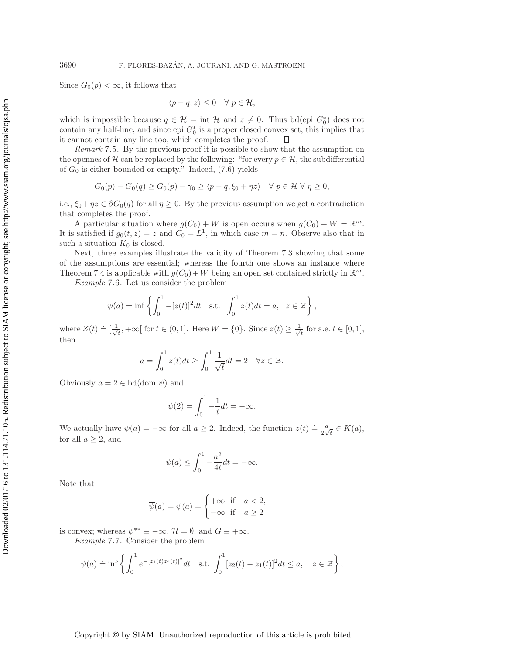Since  $G_0(p) < \infty$ , it follows that

$$
\langle p-q, z \rangle \leq 0 \quad \forall \ p \in \mathcal{H},
$$

which is impossible because  $q \in \mathcal{H} = \text{int } \mathcal{H}$  and  $z \neq 0$ . Thus bd(epi  $G_0^*$ ) does not contain any half-line, and since epi  $G_0^*$  is a proper closed convex set, this implies that it cannot contain any line too, which completes the proof.  $\Box$ 

*Remark* 7.5. By the previous proof it is possible to show that the assumption on the opennes of H can be replaced by the following: "for every  $p \in \mathcal{H}$ , the subdifferential of  $G_0$  is either bounded or empty." Indeed,  $(7.6)$  yields

$$
G_0(p) - G_0(q) \ge G_0(p) - \gamma_0 \ge \langle p - q, \xi_0 + \eta z \rangle \quad \forall \ p \in \mathcal{H} \ \forall \ \eta \ge 0,
$$

i.e.,  $\xi_0 + \eta z \in \partial G_0(q)$  for all  $\eta \geq 0$ . By the previous assumption we get a contradiction that completes the proof.

A particular situation where  $g(C_0) + W$  is open occurs when  $g(C_0) + W = \mathbb{R}^m$ . It is satisfied if  $g_0(t, z) = z$  and  $C_0 = L^1$ , in which case  $m = n$ . Observe also that in such a situation  $K_0$  is closed.

Next, three examples illustrate the validity of Theorem [7.3](#page-16-1) showing that some of the assumptions are essential; whereas the fourth one shows an instance where Theorem [7.4](#page-16-2) is applicable with  $g(C_0)+W$  being an open set contained strictly in  $\mathbb{R}^m$ .

*Example* 7.6. Let us consider the problem

$$
\psi(a) \doteq \inf \left\{ \int_0^1 -[z(t)]^2 dt \quad \text{s.t.} \quad \int_0^1 z(t) dt = a, \quad z \in \mathcal{Z} \right\},\
$$

where  $Z(t) \doteq \left[\frac{1}{\sqrt{2}}\right]$  $\frac{1}{t}$ , +∞[ for  $t \in (0, 1]$ . Here  $W = \{0\}$ . Since  $z(t) \geq \frac{1}{\sqrt{t}}$  for a.e.  $t \in [0, 1]$ , then

$$
a = \int_0^1 z(t)dt \ge \int_0^1 \frac{1}{\sqrt{t}} dt = 2 \quad \forall z \in \mathcal{Z}.
$$

Obviously  $a = 2 \in \text{bd}(\text{dom }\psi)$  and

$$
\psi(2) = \int_0^1 -\frac{1}{t}dt = -\infty.
$$

We actually have  $\psi(a) = -\infty$  for all  $a \geq 2$ . Indeed, the function  $z(t) \doteq \frac{a}{2\sqrt{t}} \in K(a)$ , for all  $a \geq 2$ , and

$$
\psi(a) \le \int_0^1 -\frac{a^2}{4t} dt = -\infty.
$$

Note that

$$
\overline{\psi}(a) = \psi(a) = \begin{cases} +\infty & \text{if } a < 2, \\ -\infty & \text{if } a \ge 2 \end{cases}
$$

<span id="page-17-0"></span>is convex; whereas  $\psi^{**} \equiv -\infty$ ,  $\mathcal{H} = \emptyset$ , and  $G \equiv +\infty$ .

*Example* 7.7. Consider the problem

$$
\psi(a) \doteq \inf \left\{ \int_0^1 e^{-[z_1(t)z_2(t)]^2} dt \quad \text{s.t.} \int_0^1 [z_2(t) - z_1(t)]^2 dt \le a, \quad z \in \mathcal{Z} \right\},\
$$

## Copyright © by SIAM. Unauthorized reproduction of this article is prohibited.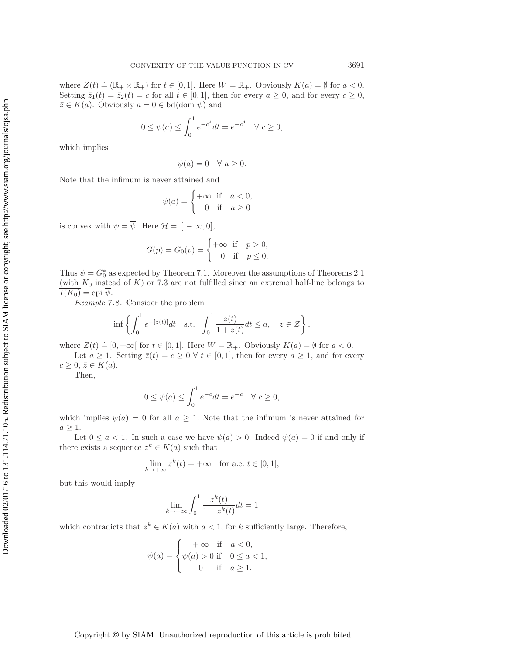where  $Z(t) \doteq (\mathbb{R}_+ \times \mathbb{R}_+)$  for  $t \in [0,1]$ . Here  $W = \mathbb{R}_+$ . Obviously  $K(a) = \emptyset$  for  $a < 0$ . Setting  $\bar{z}_1(t)=\bar{z}_2(t)=c$  for all  $t \in [0,1]$ , then for every  $a \geq 0$ , and for every  $c \geq 0$ ,  $\overline{z} \in K(a)$ . Obviously  $a = 0 \in \text{bd}(\text{dom }\psi)$  and

$$
0 \le \psi(a) \le \int_0^1 e^{-c^4} dt = e^{-c^4} \quad \forall \ c \ge 0,
$$

which implies

$$
\psi(a) = 0 \quad \forall \ a \ge 0.
$$

Note that the infimum is never attained and

$$
\psi(a) = \begin{cases} +\infty & \text{if } a < 0, \\ 0 & \text{if } a \ge 0 \end{cases}
$$

is convex with  $\psi = \overline{\psi}$ . Here  $\mathcal{H} = \{ -\infty, 0 \}$ ,

$$
G(p) = G_0(p) = \begin{cases} +\infty & \text{if } p > 0, \\ 0 & \text{if } p \le 0. \end{cases}
$$

Thus  $\psi = G_0^*$  as expected by Theorem [7.1.](#page-14-1) Moreover the assumptions of Theorems [2.1](#page-2-1) (with  $K_0$  instead of K) or [7.3](#page-16-1) are not fulfilled since an extremal half-line belongs to  $I(K_0) =$ epi  $\overline{\psi}$ .

*Example* 7.8. Consider the problem

$$
\inf\left\{\int_0^1 e^{-[z(t)]}dt \quad \text{s.t.} \quad \int_0^1 \frac{z(t)}{1+z(t)}dt \le a, \quad z \in \mathcal{Z}\right\},\
$$

where  $Z(t) \doteq [0, +\infty[$  for  $t \in [0, 1]$ . Here  $W = \mathbb{R}_+$ . Obviously  $K(a) = \emptyset$  for  $a < 0$ .

Let  $a \geq 1$ . Setting  $\bar{z}(t) = c \geq 0 \ \forall \ t \in [0,1]$ , then for every  $a \geq 1$ , and for every  $c \geq 0, \, \bar{z} \in K(a).$ 

Then,

$$
0 \le \psi(a) \le \int_0^1 e^{-c} dt = e^{-c} \quad \forall \ c \ge 0,
$$

which implies  $\psi(a) = 0$  for all  $a \geq 1$ . Note that the infimum is never attained for  $a \geq 1$ .

Let  $0 \le a < 1$ . In such a case we have  $\psi(a) > 0$ . Indeed  $\psi(a) = 0$  if and only if there exists a sequence  $z^k \in K(a)$  such that

$$
\lim_{k \to +\infty} z^k(t) = +\infty \quad \text{for a.e. } t \in [0,1],
$$

but this would imply

$$
\lim_{k\to +\infty}\int_0^1\frac{z^k(t)}{1+z^k(t)}dt=1
$$

which contradicts that  $z^k \in K(a)$  with  $a < 1$ , for k sufficiently large. Therefore,

$$
\psi(a) = \begin{cases}\n+ \infty & \text{if } a < 0, \\
\psi(a) > 0 & \text{if } 0 \le a < 1, \\
0 & \text{if } a \ge 1.\n\end{cases}
$$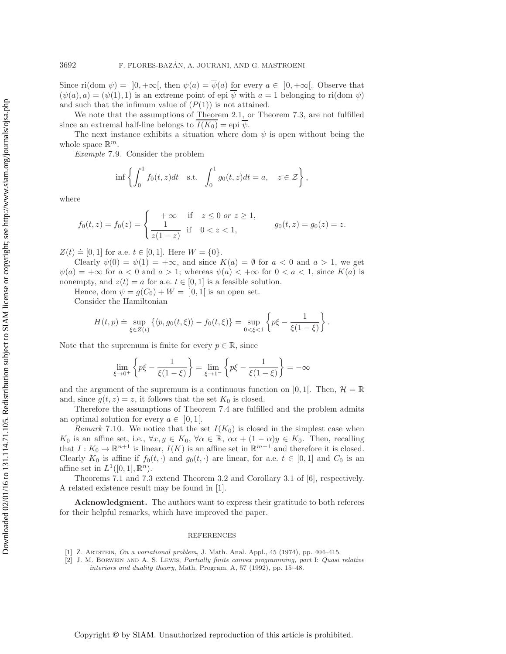Since ri(dom  $\psi$ ) = [0, +∞[, then  $\psi(a) = \psi(a)$  for every  $a \in [0, +\infty[$ . Observe that  $(\psi(a), a) = (\psi(1), 1)$  is an extreme point of epi  $\psi$  with  $a = 1$  belonging to ri(dom  $\psi$ ) and such that the infimum value of  $(P(1))$  is not attained.

We note that the assumptions of Theorem [2.1,](#page-2-1) or Theorem [7.3,](#page-16-1) are not fulfilled since an extremal half-line belongs to  $I(K_0) =$ epi  $\psi$ .

The next instance exhibits a situation where dom  $\psi$  is open without being the whole space  $\mathbb{R}^m$ .

*Example* 7.9. Consider the problem

$$
\inf \left\{ \int_0^1 f_0(t,z)dt \quad \text{s.t.} \quad \int_0^1 g_0(t,z)dt = a, \quad z \in \mathcal{Z} \right\},\
$$

where

$$
f_0(t, z) = f_0(z) = \begin{cases} +\infty & \text{if } z \le 0 \text{ or } z \ge 1, \\ \frac{1}{z(1-z)} & \text{if } 0 < z < 1, \end{cases} \qquad g_0(t, z) = g_0(z) = z.
$$

 $Z(t) \doteq [0, 1]$  for a.e.  $t \in [0, 1]$ . Here  $W = \{0\}.$ 

Clearly  $\psi(0) = \psi(1) = +\infty$ , and since  $K(a) = \emptyset$  for  $a < 0$  and  $a > 1$ , we get  $\psi(a)=+\infty$  for  $a<0$  and  $a>1$ ; whereas  $\psi(a)<+\infty$  for  $0< a< 1$ , since  $K(a)$  is nonempty, and  $z(t) = a$  for a.e.  $t \in [0, 1]$  is a feasible solution.

Hence, dom  $\psi = g(C_0) + W = [0, 1]$  is an open set.

Consider the Hamiltonian

$$
H(t,p) \doteq \sup_{\xi \in Z(t)} \left\{ \langle p, g_0(t,\xi) \rangle - f_0(t,\xi) \right\} = \sup_{0 < \xi < 1} \left\{ p\xi - \frac{1}{\xi(1-\xi)} \right\}.
$$

Note that the supremum is finite for every  $p \in \mathbb{R}$ , since

$$
\lim_{\xi \to 0^+} \left\{ p\xi - \frac{1}{\xi(1-\xi)} \right\} = \lim_{\xi \to 1^-} \left\{ p\xi - \frac{1}{\xi(1-\xi)} \right\} = -\infty
$$

and the argument of the supremum is a continuous function on [0, 1]. Then,  $\mathcal{H} = \mathbb{R}$ and, since  $g(t, z) = z$ , it follows that the set  $K_0$  is closed.

Therefore the assumptions of Theorem [7.4](#page-16-2) are fulfilled and the problem admits an optimal solution for every  $a \in [0,1]$ .

*Remark* 7.10. We notice that the set  $I(K_0)$  is closed in the simplest case when K<sub>0</sub> is an affine set, i.e.,  $\forall x, y \in K_0$ ,  $\forall \alpha \in \mathbb{R}$ ,  $\alpha x + (1 - \alpha)y \in K_0$ . Then, recalling that  $I: K_0 \to \mathbb{R}^{n+1}$  is linear,  $I(K)$  is an affine set in  $\mathbb{R}^{m+1}$  and therefore it is closed. Clearly  $K_0$  is affine if  $f_0(t, \cdot)$  and  $g_0(t, \cdot)$  are linear, for a.e.  $t \in [0, 1]$  and  $C_0$  is an affine set in  $L^1([0,1], \mathbb{R}^n)$ .

Theorems [7.1](#page-14-1) and [7.3](#page-16-1) extend Theorem 3.2 and Corollary 3.1 of [\[6\]](#page-20-3), respectively. A related existence result may be found in [\[1\]](#page-19-0).

**Acknowledgment.** The authors want to express their gratitude to both referees for their helpful remarks, which have improved the paper.

## **REFERENCES**

- <span id="page-19-1"></span><span id="page-19-0"></span>[1] Z. Artstein, On a variational problem, J. Math. Anal. Appl., 45 (1974), pp. 404–415.
- [2] J. M. Borwein and A. S. Lewis, Partially finite convex programming, part I: Quasi relative interiors and duality theory, Math. Program. A, 57 (1992), pp. 15–48.